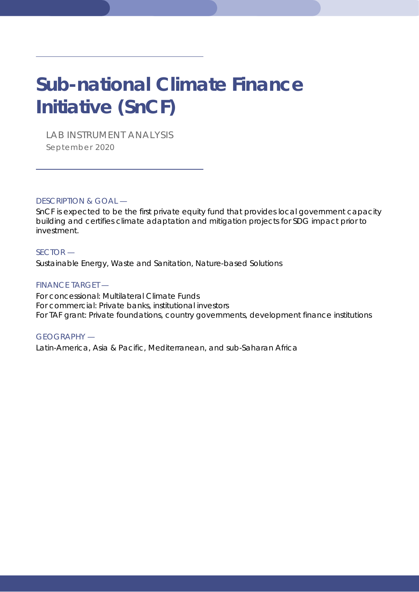# **Sub-national Climate Finance Initiative (SnCF)**

*LAB INSTRUMENT ANALYSIS September 2020*

DESCRIPTION & GOAL —

SnCF is expected to be the first private equity fund that provides local government capacity building and certifies climate adaptation and mitigation projects for SDG impact prior to investment.

### SECTOR —

Sustainable Energy, Waste and Sanitation, Nature-based Solutions

### FINANCE TARGET —

For concessional: Multilateral Climate Funds For commercial: Private banks, institutional investors For TAF grant: Private foundations, country governments, development finance institutions

### GEOGRAPHY —

Latin-America, Asia & Pacific, Mediterranean, and sub-Saharan Africa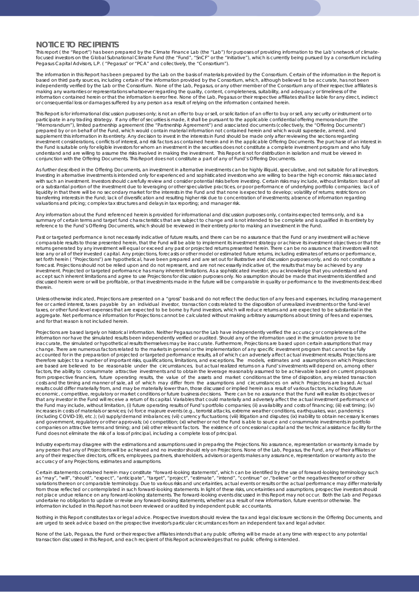### **NOTICE TO RECIPIENTS**

This report ( the "Report") has been prepared by the Climate Finance Lab (the "Lab") for purposes of providing information to the Lab's network of climatefocused investors on the Global Subnational Climate Fund (the "Fund", "SnCF" or the "Initiative"), which is currently being pursued by a consortium including Pegasus Capital Advisors, L.P. ( "Pegasus" or "PCA" and collectively, the "Consortium").

The information in this Report has been prepared by the Lab on the basis of materials provided by the Consortium. Certain of the information in the Report is based on third party sources, including certain of the information provided by the Consortium, which, although believed to be accurate, has not been independently verified by the Lab or the Consortium. None of the Lab, Pegasus, or any other member of the Consortium any of their respective affiliates is making any warranties or representations whatsoever regarding the quality, content, completeness, suitability, and adequacy or timeliness of the<br>information contained herein or that the information is error free. None of t or consequential loss or damages suffered by any person as a result of relying on the information contained herein.

This Report is for informational discussion purposes only; is not an offer to buy or sell, or solicitation of an offer to buy or sell, any security or instrument or to participate in any trading strategy. If any offer of securities is made, it shall be pursuant to the applicable confidential offering memorandum (the<br>"Memorandum"), limited partnership agreement (the "Partnership Agreement prepared by or on behalf of the Fund, which would contain material information not contained herein and which would supersede, amend, and supplement this information in its entirety. Any decision to invest in the interests in Fund should be made only after reviewing the sections regarding investment considerations, conflicts of interest, and risk factors as contained herein and in the applicable Offering Documents. The purchase of an interest in the Fund is suitable only for eligible investors for whom an investment in the securities does not constitute a complete investment program and who fully understand and are willing to assume the risks involved in making the investment. This Report is not for distribution in isolation and must be viewed in conjunction with the Offering Documents. This Report does not constitute a part of any of Fund's Offering Documents.

As further described in the Offering Documents, an investment in alternative investments can be highly illiquid, speculative, and not suitable for all investors. Investing in alternative investments is intended only for experienced and sophisticated investors who are willing to bear the high economic risks associated with such an investment. Investors should carefully review and consider potential risks before investing. Certain risks may include, without limitation: loss of all or a substantial portion of the investment due to leveraging or other speculative practices, or poor performance of underlying portfolio companies; lack of<br>liquidity in that there will be no secondary market for the intere transferring interests in the Fund; lack of diversification and resulting higher risk due to concentration of investments; absence of information regarding valuations and pricing; complex tax structures and delays in tax reporting; and manager risk.

Any information about the Fund referenced herein is provided for informational and discussion purposes only, contains expected terms only, and is a summary of certain terms and target fund characteristics that are subject to change and is not intended to be complete and is qualified in its entirety by reference to the Fund's Offering Documents, which should be reviewed in their entirety prior to making an investment in the Fund.

Past or targeted performance is not necessarily indicative of future results, and there can be no assurance that the Fund or any investment will achieve comparable results to those presented herein, that the Fund will be able to implement its investment strategy or achieve its investment objectives or that the returns generated by any investment will equal or exceed any past or projected returns presented herein. There can be no assurance that investors will not lose any or all of their invested capital. Any projections, forecasts or other model or estimated future returns, including estimates of returns or performance, set forth herein ( "Projections") are hypothetical, have been prepared and are set out for illustrative and discussion purposes only, and do not constitute a forecast. Projections should not be relied upon and do not represent, and are not necessarily indicative of, the results that may be achieved by any<br>investment. Projected or targeted performance has many inherent limitatio accept such inherent limitations and agree to use Projections for discussion purposes only. No assumption should be made that investments identified and discussed herein were or will be profitable, or that investments made in the future will be comparable in quality or performance to the investments described therein.

Unless otherwise indicated, Projections are presented on a "gross" basis and do not reflect the deduction of any fees and expenses, including management fee or carried interest, taxes payable by an individual investor, transaction costs related to the disposition of unrealized investments or the fund-level taxes, or other fund-level expenses that are expected to be borne by Fund investors, which will reduce returns and are expected to be substantial in the aggregate. Net performance information for Projections cannot be calculated without making arbitrary assumptions about timing of fees and expenses, and for that reason is not included herein.

Projections are based largely on historical information. Neither Pegasus nor the Lab have independently verified the accuracy or completeness of the<br>information nor have the simulated results been independently verified or inaccurate, the simulated or hypothetical results themselves may be inaccurate. Furthermore, Projections are based upon certain assumptions that may change. There are numerous factors related to the markets in general or the implementation of any specific investment program that cannot be fully accounted for in the preparation of projected or targeted performance results, all of which can adversely affect actual investment results. Projections are therefore subject to a number of important risks, qualifications, limitations, and exceptions. The models, estimates and assumptions on which Projections are based are believed to be reasonable under the circumstances, but actual realized returns on a Fund's investments will depend on, among other<br>factors, the ability to consummate attractive investments and to obtain the l from prospective financiers, future operating results, the value of the assets and market conditions at the time of disposition, any related transaction<br>costs and the timing and manner of sale, all of which may differ from results could differ materially from, and may be materially lower than, those discussed or implied herein as a result of various factors, including future economic, competitive, regulatory or market conditions or future business decisions. There can be no assurance that the Fund will realize its objectives or that any investor in the Fund will receive a return of its capital. Variables that could materially and adversely affect the actual investment performance of the Fund may include, without limitation, (i) future operating results of Fund's portfolio companies; (ii) availability and costs of financing; (iii) exit timing; (iv) increases in costs of materials or services; (v) force majeure events (e.g., terrorist attacks, extreme weather conditions, earthquakes, war, pandemics (including COVID-19), etc.); (vi) supply/demand imbalances; (vii) currency fluctuations; (viii) litigation and disputes; (ix) inability to obtain necessary licenses and government, regulatory or other approvals; (x) competition; (xi) whether or not the Fund is able to source and consummate investments in portfolio companies on attractive terms and timing; and (xii) other relevant factors. The existence of concessional capital and the technical assistance facility for the Fund does not eliminate the risk of a loss of principal, including a complete loss of principal.

Industry experts may disagree with the estimations and assumptions used in preparing the Projections. No assurance, representation or warranty is made by any person that any of Projections will be achieved and no investor should rely on Projections. None of the Lab, Pegasus, the Fund, any of their affiliates or any of their respective directors, officers, employees, partners, shareholders, advisors or agents makes any assurance, representation or warranty as to the accuracy of any Projections, estimates and assumptions.

Certain statements contained herein may constitute "forward-looking statements", which can be identified by the use of forward-looking terminology such<br>as "may", "will", "should", "expect", "anticipate", "target", "project variations thereon or comparable terminology. Due to various risks and uncertainties, actual events or results or the actual performance may differ materially from those reflected or contemplated in such forward-looking statements. In light of these risks, uncertainties and assumptions, prospective investors should not place undue reliance on any forward-looking statements. The forward-looking events discussed in this Report may not occur. Both the Lab and Pegasus undertake no obligation to update or revise any forward-looking statements, whether as a result of new information, future events or otherwise. The information included in this Report has not been reviewed or audited by independent public accountants.

Nothing in this Report constitutes tax or legal advice. Prospective investors should review the tax and legal disclosure sections in the Offering Documents, and are urged to seek advice based on the prospective investor's particular circumstances from an independent tax and legal advisor.

None of the Lab, Pegasus, the Fund or their respective affiliates intends that any public offering will be made at any time with respect to any potential transaction discussed in this Report, and each recipient of this Report acknowledges that no public offering is intended.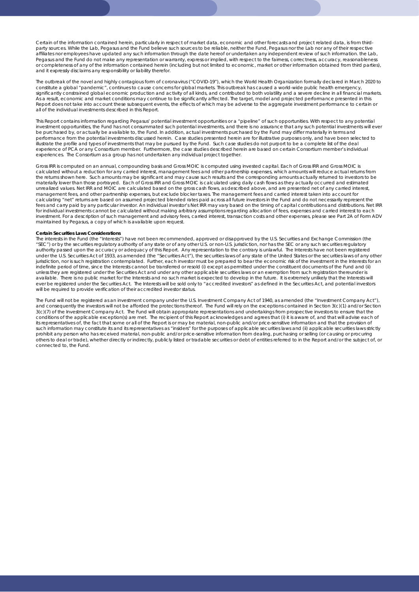Certain of the information contained herein, particularly in respect of market data, economic and other forecasts and project related data, is from thirdparty sources. While the Lab, Pegasus and the Fund believe such sources to be reliable, neither the Fund, Pegasus nor the Lab nor any of their respective<br>affiliates nor employees have updated any such information through t Pegasus and the Fund do not make any representation or warranty, express or implied, with respect to the fairness, correctness, accuracy, reasonableness or completeness of any of the information contained herein (including but not limited to economic, market or other information obtained from third parties), and it expressly disclaims any responsibility or liability therefor.

The outbreak of the novel and highly contagious form of coronavirus ("COVID-19"), which the World Health Organization formally declared in March 2020 to constitute a global "pandemic", continues to cause concerns for global markets. This outbreak has caused a world-wide public health emergency,<br>significantly constrained global economic production and activity of all kinds, As a result, economic and market conditions may continue to be significantly affected. The target, model and projected performance presented in this Report does not take into account these subsequent events, the effects of which may be adverse to the aggregate investment performance to certain or all of the individual investments described in this Report.

This Report contains information regarding Pegasus' potential investment opportunities or a "pipeline" of such opportunities. With respect to any potential investment opportunities, the Fund has not consummated such potential investments, and there is no assurance that any such potential investments will ever be purchased by, or actually be available to, the Fund. In addition, actual investments purchased by the Fund may differ materially in terms and performance from the potential investments discussed herein. Case studies presented herein are for illustrative purposes only, and have been selecte illustrate the profile and types of investments that may be pursued by the Fund. Such case studies do not purport to be a complete list of the deal experience of PCA or any Consortium member. Furthermore, the case studies described herein are based on certain Consortium member's individual experiences. The Consortium as a group has not undertaken any individual project together.

Gross IRR is computed on an annual, compounding basis and Gross MOIC is computed using invested capital. Each of Gross IRR and Gross MOIC is calculated without a reduction for any carried interest, management fees and other partnership expenses, which amounts will reduce actual returns from the returns shown here. Such amounts may be significant and may cause such results and the corresponding amounts actually returned to investors to be materially lower than those portrayed. Each of Gross IRR and Gross MOIC is calculated using daily cash flows as they actually occurred and estimated unrealized values. Net IRR and MOIC are calculated based on the gross cash flows, as described above, and are presented net of any carried interest, management fees, and other partnership expenses, but exclude blocker taxes. The management fees and carried interest taken into account for calculating "net" returns are based on assumed projected blended rates paid across all future investors in the Fund and do not necessarily represent the fees and carry paid by any particular investor. An individual investor's Net IRR may vary based on the timing of capital contributions and distributions. Net IRR for individual investments cannot be calculated without making arbitrary assumptions regarding allocation of fees, expenses and carried interest to each investment. For a description of such management and advisory fees, carried interest, transaction costs and other expenses, please see Part 2A of Form ADV maintained by Pegasus, a copy of which is available upon request.

### **Certain Securities Laws Considerations**

The interests in the Fund (the "Interests") have not been recommended, approved or disapproved by the U.S. Securities and Exchange Commission (the "SEC") or by the securities regulatory authority of any state or of any other U.S. or non-U.S. jurisdiction, nor has the SEC or any such securities regulatory authority passed upon the accuracy or adequacy of this Report. Any representation to the contrary is unlawful. The Interests have not been registered<br>under the U.S. Securities Act of 1933, as amended (the "Securities Act") jurisdiction, nor is such registration contemplated. Further, each investor must be prepared to bear the economic risk of the investment in the Interests for an<br>indefinite period of time, since the Interests cannot be tran unless they are registered under the Securities Act and under any other applicable securities laws or an exemption from such registration thereunder is available. There is no public market for the Interests and no such market is expected to develop in the future. It is extremely unlikely that the Interests will ever be registered under the Securities Act. The Interests will be sold only to "accredited investors" as defined in the Securities Act, and potential investors will be required to provide verification of their accredited investor status.

The Fund will not be registered as an investment company under the U.S. Investment Company Act of 1940, as amended (the "Investment Company Act"), and consequently the investors will not be afforded the protections thereof. The Fund will rely on the exceptions contained in Section 3(c)(1) and/or Section 3(c)(7) of the Investment Company Act. The Fund will obtain appropriate representations and undertakings from prospective investors to ensure that the conditions of the applicable exception(s) are met. The recipient of this Report acknowledges and agrees that (i) it is aware of, and that will advise each of its representatives of, the fact that some or all of the Report is or may be material, non-public and/or price-sensitive information and that the provision of such information may constitute its and its representatives as "insiders" for the purposes of applicable securities laws and (ii) applicable securities laws strictly prohibit any person who has received material, non-public and/or price-sensitive information from dealing, purchasing or selling (or causing or procuring others to deal or trade), whether directly or indirectly, publicly listed or tradable securities or debt of entities referred to in the Report and/or the subject of, or connected to, the Fund.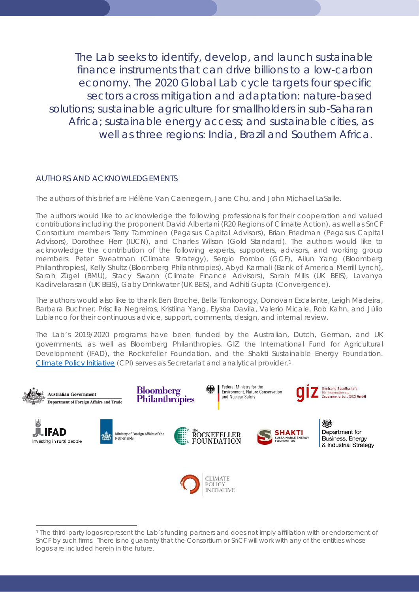The Lab seeks to identify, develop, and launch sustainable finance instruments that can drive billions to a low-carbon economy. The 2020 Global Lab cycle targets four specific sectors across mitigation and adaptation: nature-based solutions; sustainable agriculture for smallholders in sub-Saharan Africa; sustainable energy access; and sustainable cities, as well as three regions: India, Brazil and Southern Africa.

### AUTHORS AND ACKNOWLEDGEMENTS

The authors of this brief are Hélène Van Caenegem, Jane Chu, and John Michael LaSalle.

The authors would like to acknowledge the following professionals for their cooperation and valued contributions including the proponent David Albertani (R20 Regions of Climate Action), as well as SnCF Consortium members Terry Tamminen (Pegasus Capital Advisors), Brian Friedman (Pegasus Capital Advisors), Dorothee Herr (IUCN), and Charles Wilson (Gold Standard). The authors would like to acknowledge the contribution of the following experts, supporters, advisors, and working group members: Peter Sweatman (Climate Strategy), Sergio Pombo (GCF), Ailun Yang (Bloomberg Philanthropies), Kelly Shultz (Bloomberg Philanthropies), Abyd Karmali (Bank of America Merrill Lynch), Sarah Zügel (BMU), Stacy Swann (Climate Finance Advisors), Sarah Mills (UK BEIS), Lavanya Kadirvelarasan (UK BEIS), Gaby Drinkwater (UK BEIS), and Adhiti Gupta (Convergence).

The authors would also like to thank Ben Broche, Bella Tonkonogy, Donovan Escalante, Leigh Madeira, Barbara Buchner, Priscilla Negreiros, Kristiina Yang, Elysha Davila, Valerio Micale, Rob Kahn, and Júlio Lubianco for their continuous advice, support, comments, design, and internal review.

The Lab's 2019/2020 programs have been funded by the Australian, Dutch, German, and UK governments, as well as Bloomberg Philanthropies, GIZ, the International Fund for Agricultural Development (IFAD), the Rockefeller Foundation, and the Shakti Sustainable Energy Foundation. [Climate Policy Initiative](https://climatepolicyinitiative.org/) (CPI) serves as Secretariat and analytical provider.[1](#page-3-0)

<span id="page-3-0"></span>

<sup>1</sup> The third-party logos represent the Lab's funding partners and does not imply affiliation with or endorsement of SnCF by such firms. There is no guaranty that the Consortium or SnCF will work with any of the entities whose logos are included herein in the future.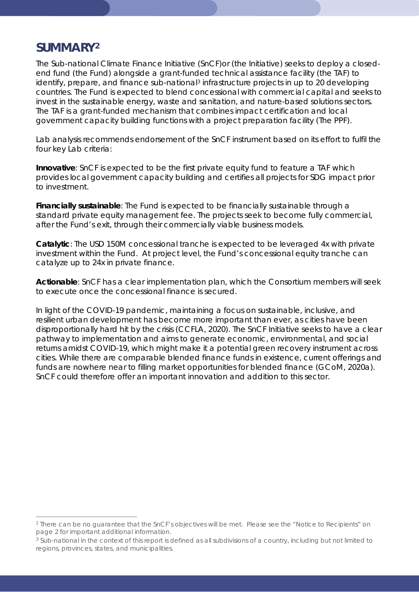# <span id="page-4-2"></span>*SUMMARY[2](#page-4-0)*

The Sub-national Climate Finance Initiative (SnCF)or (the Initiative) seeks to deploy a closedend fund (the Fund) alongside a grant-funded technical assistance facility (the TAF) to identify, prepare, and finance sub-national<sup>[3](#page-4-1)</sup> infrastructure projects in up to 20 developing countries. The Fund is expected to blend concessional with commercial capital and seeks to invest in the sustainable energy, waste and sanitation, and nature-based solutions sectors. The TAF is a grant-funded mechanism that combines impact certification and local government capacity building functions with a project preparation facility (The PPF).

Lab analysis recommends endorsement of the SnCF instrument based on its effort to fulfil the four key Lab criteria:

**Innovative**: SnCF is expected to be the first private equity fund to feature a TAF which provides local government capacity building and certifies all projects for SDG impact prior to investment.

**Financially sustainable**: The Fund is expected to be financially sustainable through a standard private equity management fee. The projects seek to become fully commercial, after the Fund's exit, through their commercially viable business models.

**Catalytic**: The USD 150M concessional tranche is expected to be leveraged 4x with private investment within the Fund. At project level, the Fund's concessional equity tranche can catalyze up to 24x in private finance.

**Actionable**: SnCF has a clear implementation plan, which the Consortium members will seek to execute once the concessional finance is secured.

In light of the COVID-19 pandemic, maintaining a focus on sustainable, inclusive, and resilient urban development has become more important than ever, as cities have been disproportionally hard hit by the crisis (CCFLA, 2020). The SnCF Initiative seeks to have a clear pathway to implementation and aims to generate economic, environmental, and social returns amidst COVID-19, which might make it a potential green recovery instrument across cities. While there are comparable blended finance funds in existence, current offerings and funds are nowhere near to filling market opportunities for blended finance (GCoM, 2020a). SnCF could therefore offer an important innovation and addition to this sector.

<span id="page-4-0"></span><sup>2</sup> There can be no guarantee that the SnCF's objectives will be met. Please see the "Notice to Recipients" on page 2 for important additional information.

<span id="page-4-1"></span><sup>&</sup>lt;sup>3</sup> Sub-national in the context of this report is defined as all subdivisions of a country, including but not limited to regions, provinces, states, and municipalities.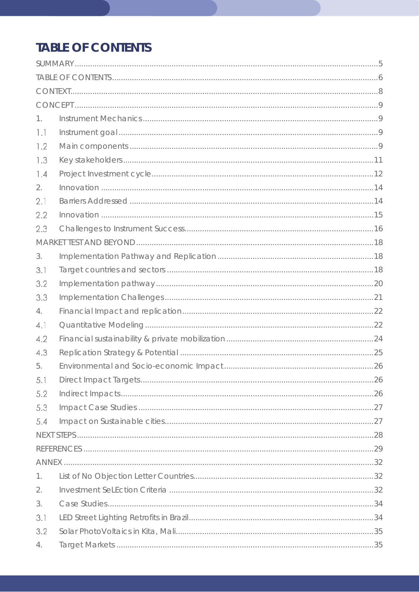# <span id="page-5-0"></span>**TABLE OF CONTENTS**

| 1.  |  |
|-----|--|
| 1.1 |  |
| 1.2 |  |
| 1.3 |  |
| 1.4 |  |
| 2.  |  |
| 2.1 |  |
| 2.2 |  |
| 2.3 |  |
|     |  |
| 3.  |  |
| 3.1 |  |
| 3.2 |  |
| 3.3 |  |
| 4.  |  |
| 4.1 |  |
| 4.2 |  |
| 4.3 |  |
| 5.  |  |
| 5.1 |  |
| 5.2 |  |
| 5.3 |  |
| 5.4 |  |
|     |  |
|     |  |
|     |  |
| 1.  |  |
| 2.  |  |
| 3.  |  |
| 3.1 |  |
| 3.2 |  |
| 4.  |  |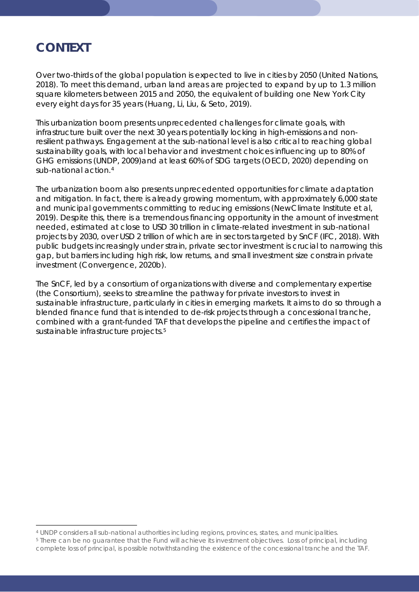# <span id="page-7-0"></span>*CONTEXT*

Over two-thirds of the global population is expected to live in cities by 2050 (United Nations, 2018). To meet this demand, urban land areas are projected to expand by up to 1.3 million square kilometers between 2015 and 2050, the equivalent of building one New York City every eight days for 35 years (Huang, Li, Liu, & Seto, 2019).

This urbanization boom presents unprecedented challenges for climate goals, with infrastructure built over the next 30 years potentially locking in high-emissions and nonresilient pathways. Engagement at the sub-national level is also critical to reaching global sustainability goals, with local behavior and investment choices influencing up to 80% of GHG emissions (UNDP, 2009)and at least 60% of SDG targets (OECD, 2020) depending on sub-national action.<sup>[4](#page-7-1)</sup>

The urbanization boom also presents unprecedented opportunities for climate adaptation and mitigation. In fact, there is already growing momentum, with approximately 6,000 state and municipal governments committing to reducing emissions (NewClimate Institute et al, 2019). Despite this, there is a tremendous financing opportunity in the amount of investment needed, estimated at close to USD 30 trillion in climate-related investment in sub-national projects by 2030, over USD 2 trillion of which are in sectors targeted by SnCF (IFC, 2018). With public budgets increasingly under strain, private sector investment is crucial to narrowing this gap, but barriers including high risk, low returns, and small investment size constrain private investment (Convergence, 2020b).

The SnCF, led by a consortium of organizations with diverse and complementary expertise (the Consortium), seeks to streamline the pathway for private investors to invest in sustainable infrastructure, particularly in cities in emerging markets. It aims to do so through a blended finance fund that is intended to de-risk projects through a concessional tranche, combined with a grant-funded TAF that develops the pipeline and certifies the impact of sustainable infrastructure projects.<sup>[5](#page-7-2)</sup>

<span id="page-7-1"></span><sup>4</sup> UNDP considers all sub-national authorities including regions, provinces, states, and municipalities.<br>5 There can be no guarantee that the Fund will achieve its investment objectives. Loss of principal, including

<span id="page-7-2"></span>complete loss of principal, is possible notwithstanding the existence of the concessional tranche and the TAF.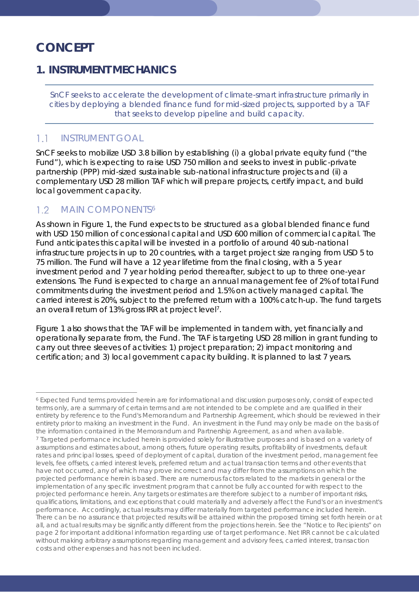# <span id="page-8-0"></span>*CONCEPT*

## <span id="page-8-1"></span>**1. INSTRUMENT MECHANICS**

*SnCF seeks to accelerate the development of climate-smart infrastructure primarily in cities by deploying a blended finance fund for mid-sized projects, supported by a TAF that seeks to develop pipeline and build capacity.*

#### <span id="page-8-2"></span> $1.1$ INSTRUMENT GOAL

SnCF seeks to mobilize USD 3.8 billion by establishing (i) a global private equity fund ("the Fund"), which is expecting to raise USD 750 million and seeks to invest in public-private partnership (PPP) mid-sized sustainable sub-national infrastructure projects and (ii) a complementary USD 28 million TAF which will prepare projects, certify impact, and build local government capacity.

#### <span id="page-8-3"></span> $1.2$ MAIN COMPONENTS<sup>[6](#page-8-4)</sup>

As shown in Figure 1, the Fund expects to be structured as a global blended finance fund with USD 150 million of concessional capital and USD 600 million of commercial capital. The Fund anticipates this capital will be invested in a portfolio of around 40 sub-national infrastructure projects in up to 20 countries, with a target project size ranging from USD 5 to 75 million. The Fund will have a 12 year lifetime from the final closing, with a 5 year investment period and 7 year holding period thereafter, subject to up to three one-year extensions. The Fund is expected to charge an annual management fee of 2% of total Fund commitments during the investment period and 1.5% on actively managed capital. The carried interest is 20%, subject to the preferred return with a 100% catch-up. The fund targets an overall return of 13% gross IRR at project level[7.](#page-8-5)

Figure 1 also shows that the TAF will be implemented in tandem with, yet financially and operationally separate from, the Fund. The TAF is targeting USD 28 million in grant funding to carry out three sleeves of activities: 1) project preparation; 2) impact monitoring and certification; and 3) local government capacity building. It is planned to last 7 years.

<span id="page-8-5"></span><span id="page-8-4"></span><sup>6</sup> Expected Fund terms provided herein are for informational and discussion purposes only, consist of expected terms only, are a summary of certain terms and are not intended to be complete and are qualified in their entirety by reference to the Fund's Memorandum and Partnership Agreement, which should be reviewed in their entirety prior to making an investment in the Fund. An investment in the Fund may only be made on the basis of the information contained in the Memorandum and Partnership Agreement, as and when available. <sup>7</sup> Targeted performance included herein is provided solely for illustrative purposes and is based on a variety of assumptions and estimates about, among others, future operating results, profitability of investments, default rates and principal losses, speed of deployment of capital, duration of the investment period, management fee levels, fee offsets, carried interest levels, preferred return and actual transaction terms and other events that have not occurred, any of which may prove incorrect and may differ from the assumptions on which the projected performance herein is based. There are numerous factors related to the markets in general or the implementation of any specific investment program that cannot be fully accounted for with respect to the projected performance herein. Any targets or estimates are therefore subject to a number of important risks, qualifications, limitations, and exceptions that could materially and adversely affect the Fund's or an investment's performance. Accordingly, actual results may differ materially from targeted performance included herein. There can be no assurance that projected results will be attained within the proposed timing set forth herein or at all, and actual results may be significantly different from the projections herein. See the "Notice to Recipients" on page 2 for important additional information regarding use of target performance. Net IRR cannot be calculated without making arbitrary assumptions regarding management and advisory fees, carried interest, transaction costs and other expenses and has not been included.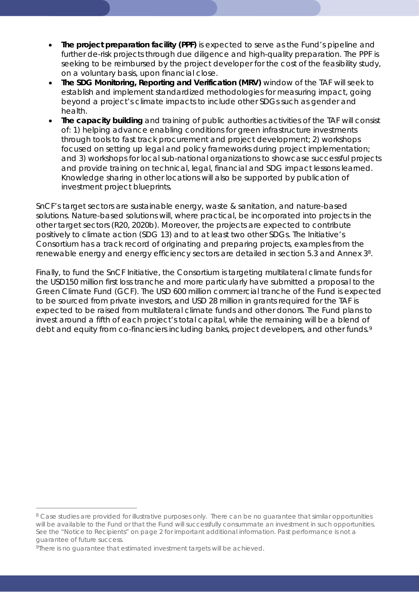- **The project preparation facility (PPF)** is expected to serve as the Fund's pipeline and further de-risk projects through due diligence and high-quality preparation. The PPF is seeking to be reimbursed by the project developer for the cost of the feasibility study, on a voluntary basis, upon financial close.
- **The SDG Monitoring, Reporting and Verification (MRV)** window of the TAF will seek to establish and implement standardized methodologies for measuring impact, going beyond a project's climate impacts to include other SDGs such as gender and health.
- **The capacity building** and training of public authorities activities of the TAF will consist of: 1) helping advance enabling conditions for green infrastructure investments through tools to fast track procurement and project development; 2) workshops focused on setting up legal and policy frameworks during project implementation; and 3) workshops for local sub-national organizations to showcase successful projects and provide training on technical, legal, financial and SDG impact lessons learned. Knowledge sharing in other locations will also be supported by publication of investment project blueprints.

SnCF's target sectors are sustainable energy, waste & sanitation, and nature-based solutions. Nature-based solutions will, where practical, be incorporated into projects in the other target sectors (R20, 2020b). Moreover, the projects are expected to contribute positively to climate action (SDG 13) and to at least two other SDGs. The Initiative's Consortium has a track record of originating and preparing projects, examples from the renewable energy and energy efficiency sectors are detailed in section 5.3 and Annex 3[8.](#page-9-0)

Finally, to fund the SnCF Initiative, the Consortium is targeting multilateral climate funds for the USD150 million first loss tranche and more particularly have submitted a proposal to the Green Climate Fund (GCF). The USD 600 million commercial tranche of the Fund is expected to be sourced from private investors, and USD 28 million in grants required for the TAF is expected to be raised from multilateral climate funds and other donors. The Fund plans to invest around a fifth of each project's total capital, while the remaining will be a blend of debt and equity from co-financiers including banks, project developers, and other funds.<sup>[9](#page-9-1)</sup>

<span id="page-9-0"></span><sup>&</sup>lt;sup>8</sup> Case studies are provided for illustrative purposes only. There can be no guarantee that similar opportunities will be available to the Fund or that the Fund will successfully consummate an investment in such opportunities. See the "Notice to Recipients" on page 2 for important additional information. Past performance is not a guarantee of future success.

<span id="page-9-1"></span><sup>9</sup>There is no guarantee that estimated investment targets will be achieved.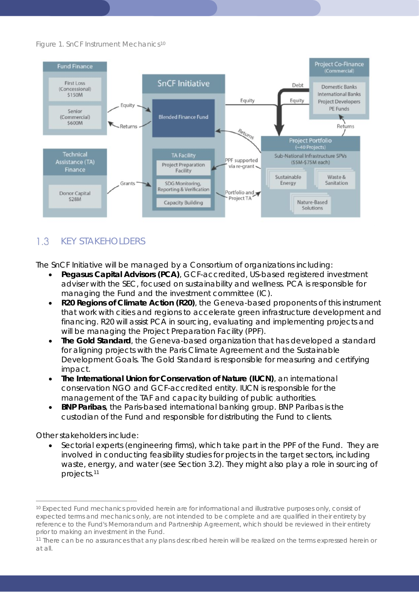*Figure 1. SnCF Instrument Mechanics[10](#page-10-1)*



### <span id="page-10-0"></span> $1.3$ KEY STAKEHOLDERS

The SnCF Initiative will be managed by a Consortium of organizations including:

- **Pegasus Capital Advisors (PCA)**, GCF-accredited, US-based registered investment adviser with the SEC, focused on sustainability and wellness. PCA is responsible for managing the Fund and the investment committee (IC).
- **R20 Regions of Climate Action (R20)**, the Geneva-based proponents of this instrument that work with cities and regions to accelerate green infrastructure development and financing. R20 will assist PCA in sourcing, evaluating and implementing projects and will be managing the Project Preparation Facility (PPF).
- **The Gold Standard**, the Geneva-based organization that has developed a standard for aligning projects with the Paris Climate Agreement and the Sustainable Development Goals. The Gold Standard is responsible for measuring and certifying impact.
- **The International Union for Conservation of Nature (IUCN)**, an international conservation NGO and GCF-accredited entity. IUCN is responsible for the management of the TAF and capacity building of public authorities.
- **BNP Paribas**, the Paris-based international banking group. BNP Paribas is the custodian of the Fund and responsible for distributing the Fund to clients.

Other stakeholders include:

• Sectorial experts (engineering firms), which take part in the PPF of the Fund. They are involved in conducting feasibility studies for projects in the target sectors, including waste, energy, and water (see Section 3.2). They might also play a role in sourcing of projects.[11](#page-10-2)

<span id="page-10-1"></span><sup>10</sup> Expected Fund mechanics provided herein are for informational and illustrative purposes only, consist of expected terms and mechanics only, are not intended to be complete and are qualified in their entirety by reference to the Fund's Memorandum and Partnership Agreement, which should be reviewed in their entirety prior to making an investment in the Fund.

<span id="page-10-2"></span><sup>11</sup> There can be no assurances that any plans described herein will be realized on the terms expressed herein or at all.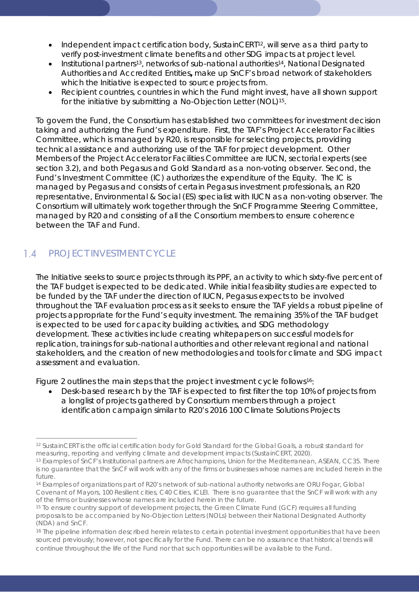- Independent impact certification body, SustainCERT[12,](#page-11-1) will serve as a third party to verify post-investment climate benefits and other SDG impacts at project level.
- Institutional partner[s13](#page-11-2), networks of sub-national authorities[14,](#page-11-3) National Designated Authorities and Accredited Entities**,** make up SnCF's broad network of stakeholders which the Initiative is expected to source projects from.
- Recipient countries, countries in which the Fund might invest, have all shown support for the initiative by submitting a No-Objection Letter (NOL)<sup>15</sup>.

To govern the Fund, the Consortium has established two committees for investment decision taking and authorizing the Fund's expenditure. First, the TAF's Project Accelerator Facilities Committee, which is managed by R20, is responsible for selecting projects, providing technical assistance and authorizing use of the TAF for project development. Other Members of the Project Accelerator Facilities Committee are IUCN, sectorial experts (see section 3.2), and both Pegasus and Gold Standard as a non-voting observer. Second, the Fund's Investment Committee (IC) authorizes the expenditure of the Equity. The IC is managed by Pegasus and consists of certain Pegasus investment professionals, an R20 representative, Environmental & Social (ES) specialist with IUCN as a non-voting observer. The Consortium will ultimately work together through the SnCF Programme Steering Committee, managed by R20 and consisting of all the Consortium members to ensure coherence between the TAF and Fund.

### <span id="page-11-0"></span> $1.4$ PROJECT INVESTMENT CYCLE

The Initiative seeks to source projects through its PPF, an activity to which sixty-five percent of the TAF budget is expected to be dedicated. While initial feasibility studies are expected to be funded by the TAF under the direction of IUCN, Pegasus expects to be involved throughout the TAF evaluation process as it seeks to ensure the TAF yields a robust pipeline of projects appropriate for the Fund's equity investment. The remaining 35% of the TAF budget is expected to be used for capacity building activities, and SDG methodology development. These activities include creating whitepapers on successful models for replication, trainings for sub-national authorities and other relevant regional and national stakeholders, and the creation of new methodologies and tools for climate and SDG impact assessment and evaluation.

Figure 2 outlines the main steps that the project investment cycle follows<sup>16</sup>:

• Desk-based research by the TAF is expected to first filter the top 10% of projects from a longlist of projects gathered by Consortium members through a project identification campaign similar to R20's 2016 100 Climate Solutions Projects

<span id="page-11-1"></span><sup>12</sup> SustainCERT is the official certification body for Gold Standard for the Global Goals, a robust standard for measuring, reporting and verifying climate and development impacts (SustainCERT, 2020).

<span id="page-11-2"></span><sup>13</sup> Examples of SnCF's Institutional partners are Afrochampions, Union for the Mediterranean, ASEAN, CC35. There is no guarantee that the SnCF will work with any of the firms or businesses whose names are included herein in the future.

<span id="page-11-3"></span><sup>14</sup> Examples of organizations part of R20's network of sub-national authority networks are ORU Fogar, Global Covenant of Mayors, 100 Resilient cities, C40 Cities, ICLEI. There is no guarantee that the SnCF will work with any of the firms or businesses whose names are included herein in the future.

<span id="page-11-4"></span><sup>15</sup> To ensure country support of development projects, the Green Climate Fund (GCF) requires all funding proposals to be accompanied by No-Objection Letters (NOLs) between their National Designated Authority (NDA) and SnCF.

<span id="page-11-5"></span><sup>&</sup>lt;sup>16</sup> The pipeline information described herein relates to certain potential investment opportunities that have been sourced previously; however, not specifically for the Fund. There can be no assurance that historical trends will continue throughout the life of the Fund nor that such opportunities will be available to the Fund.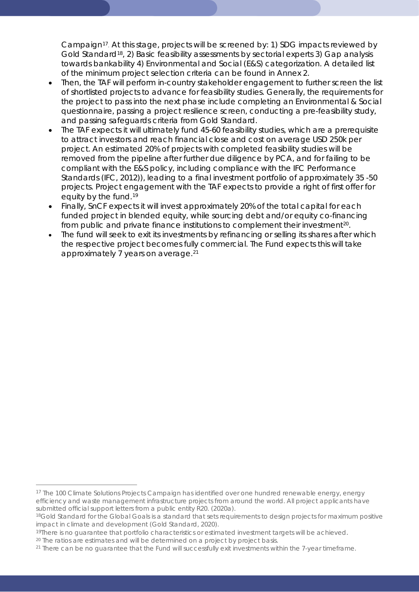Campaign[17](#page-12-0). At this stage, projects will be screened by: 1) SDG impacts reviewed by Gold Standar[d18](#page-12-1), 2) Basic feasibility assessments by sectorial experts 3) Gap analysis towards bankability 4) Environmental and Social (E&S) categorization. A detailed list of the minimum project selection criteria can be found in Annex 2.

- Then, the TAF will perform in-country stakeholder engagement to further screen the list of shortlisted projects to advance for feasibility studies. Generally, the requirements for the project to pass into the next phase include completing an Environmental & Social questionnaire, passing a project resilience screen, conducting a pre-feasibility study, and passing safeguards criteria from Gold Standard.
- The TAF expects it will ultimately fund 45-60 feasibility studies, which are a prerequisite to attract investors and reach financial close and cost on average USD 250k per project. An estimated 20% of projects with completed feasibility studies will be removed from the pipeline after further due diligence by PCA, and for failing to be compliant with the E&S policy, including compliance with the IFC Performance Standards (IFC, 2012)), leading to a final investment portfolio of approximately 35 -50 projects. Project engagement with the TAF expects to provide a right of first offer for equity by the fund.[19](#page-12-2)
- Finally, SnCF expects it will invest approximately 20% of the total capital for each funded project in blended equity, while sourcing debt and/or equity co-financing from public and private finance institutions to complement their investment<sup>[20](#page-12-3)</sup>.
- The fund will seek to exit its investments by refinancing or selling its shares after which the respective project becomes fully commercial. The Fund expects this will take approximately 7 years on average.[21](#page-12-4)

<span id="page-12-0"></span><sup>17</sup> The 100 Climate Solutions Projects Campaign has identified over one hundred renewable energy, energy efficiency and waste management infrastructure projects from around the world. All project applicants have submitted official support letters from a public entity R20. (2020a).

<span id="page-12-1"></span><sup>&</sup>lt;sup>18</sup>Gold Standard for the Global Goals is a standard that sets requirements to design projects for maximum positive impact in climate and development (Gold Standard, 2020).

<span id="page-12-2"></span><sup>&</sup>lt;sup>19</sup>There is no quarantee that portfolio characteristics or estimated investment targets will be achieved.

<span id="page-12-3"></span><sup>&</sup>lt;sup>20</sup> The ratios are estimates and will be determined on a project by project basis.

<span id="page-12-4"></span><sup>&</sup>lt;sup>21</sup> There can be no guarantee that the Fund will successfully exit investments within the 7-year timeframe.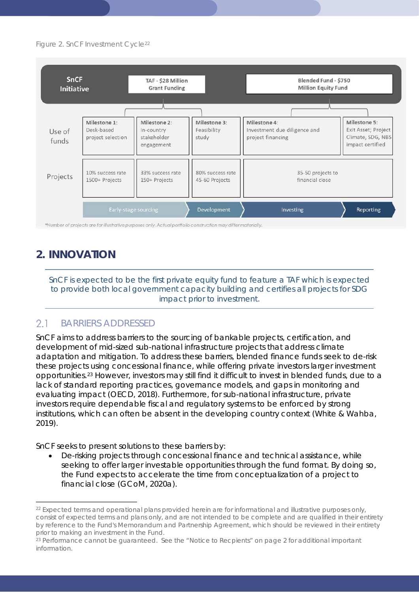### *Figure 2. SnCF Investment Cycle[22](#page-13-2)*



## <span id="page-13-0"></span>**2. INNOVATION**

*SnCF is expected to be the first private equity fund to feature a TAF which is expected to provide both local government capacity building and certifies all projects for SDG impact prior to investment.*

#### <span id="page-13-1"></span> $2.1$ BARRIERS ADDRESSED

SnCF aims to address barriers to the sourcing of bankable projects, certification, and development of mid-sized sub-national infrastructure projects that address climate adaptation and mitigation. To address these barriers, blended finance funds seek to de-risk these projects using concessional finance, while offering private investors larger investment opportunities.[23](#page-13-3) However, investors may still find it difficult to invest in blended funds, due to a lack of standard reporting practices, governance models, and gaps in monitoring and evaluating impact (OECD, 2018). Furthermore, for sub-national infrastructure, private investors require dependable fiscal and regulatory systems to be enforced by strong institutions, which can often be absent in the developing country context (White & Wahba, 2019).

SnCF seeks to present solutions to these barriers by:

• De-risking projects through concessional finance and technical assistance, while seeking to offer larger investable opportunities through the fund format. By doing so, the Fund expects to accelerate the time from conceptualization of a project to financial close (GCoM, 2020a).

<span id="page-13-2"></span><sup>&</sup>lt;sup>22</sup> Expected terms and operational plans provided herein are for informational and illustrative purposes only, consist of expected terms and plans only, and are not intended to be complete and are qualified in their entirety by reference to the Fund's Memorandum and Partnership Agreement, which should be reviewed in their entirety prior to making an investment in the Fund.<br><sup>23</sup> Performance cannot be guaranteed. See the "Notice to Recpients" on page 2 for additional important

<span id="page-13-3"></span>information.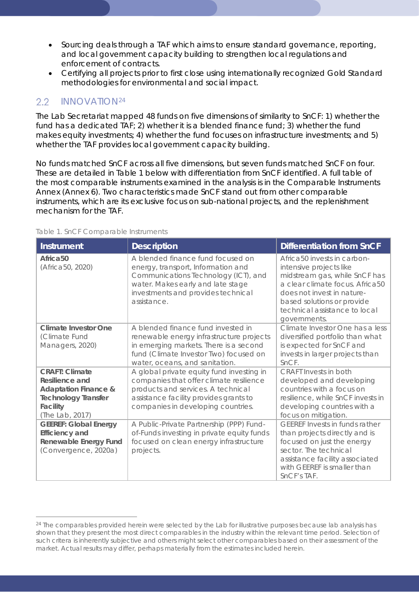- Sourcing deals through a TAF which aims to ensure standard governance, reporting, and local government capacity building to strengthen local regulations and enforcement of contracts.
- Certifying all projects prior to first close using internationally recognized Gold Standard methodologies for environmental and social impact.

### <span id="page-14-0"></span> $2.2$ INNOVATION[24](#page-14-1)

The Lab Secretariat mapped 48 funds on five dimensions of similarity to SnCF: 1) whether the fund has a dedicated TAF; 2) whether it is a blended finance fund; 3) whether the fund makes equity investments; 4) whether the fund focuses on infrastructure investments; and 5) whether the TAF provides local government capacity building.

No funds matched SnCF across all five dimensions, but seven funds matched SnCF on four. These are detailed in Table 1 below with differentiation from SnCF identified. A full table of the most comparable instruments examined in the analysis is in the Comparable Instruments Annex (Annex 6). Two characteristics made SnCF stand out from other comparable instruments, which are its exclusive focus on sub-national projects, and the replenishment mechanism for the TAF.

| Instrument                                                                                                                              | <b>Description</b>                                                                                                                                                                                         | <b>Differentiation from SnCF</b>                                                                                                                                                                                                                    |
|-----------------------------------------------------------------------------------------------------------------------------------------|------------------------------------------------------------------------------------------------------------------------------------------------------------------------------------------------------------|-----------------------------------------------------------------------------------------------------------------------------------------------------------------------------------------------------------------------------------------------------|
| Africa <sub>50</sub><br>(Africa50, 2020)                                                                                                | A blended finance fund focused on<br>energy, transport, Information and<br>Communications Technology (ICT), and<br>water. Makes early and late stage<br>investments and provides technical<br>assistance.  | Africa <sub>50</sub> invests in carbon-<br>intensive projects like<br>midstream gas, while SnCF has<br>a clear climate focus. Africa50<br>does not invest in nature-<br>based solutions or provide<br>technical assistance to local<br>governments. |
| Climate Investor One<br>(Climate Fund<br>Managers, 2020)                                                                                | A blended finance fund invested in<br>renewable energy infrastructure projects<br>in emerging markets. There is a second<br>fund (Climate Investor Two) focused on<br>water, oceans, and sanitation.       | Climate Investor One has a less<br>diversified portfolio than what<br>is expected for SnCF and<br>invests in larger projects than<br>SnCF.                                                                                                          |
| <b>CRAFT: Climate</b><br>Resilience and<br><b>Adaptation Finance &amp;</b><br><b>Technology Transfer</b><br>Facility<br>(The Lab, 2017) | A global private equity fund investing in<br>companies that offer climate resilience<br>products and services. A technical<br>assistance facility provides grants to<br>companies in developing countries. | <b>CRAFT</b> Invests in both<br>developed and developing<br>countries with a focus on<br>resilience, while SnCF invests in<br>developing countries with a<br>focus on mitigation.                                                                   |
| <b>GEEREF: Global Energy</b><br><b>Efficiency and</b><br>Renewable Energy Fund<br>(Convergence, 2020a)                                  | A Public-Private Partnership (PPP) Fund-<br>of-Funds investing in private equity funds<br>focused on clean energy infrastructure<br>projects.                                                              | <b>GEEREF Invests in funds rather</b><br>than projects directly and is<br>focused on just the energy<br>sector. The technical<br>assistance facility associated<br>with GEEREF is smaller than<br>SnCF's TAF.                                       |

### *Table 1. SnCF Comparable Instruments*

<span id="page-14-1"></span><sup>&</sup>lt;sup>24</sup> The comparables provided herein were selected by the Lab for illustrative purposes because lab analysis has shown that they present the most direct comparables in the industry within the relevant time period. Selection of such critera is inherently subjective and others might select other comparables based on their assessment of the market. Actual results may differ, perhaps materially from the estimates included herein.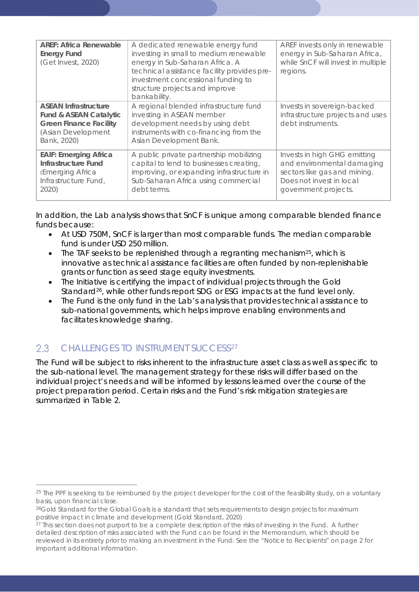| <b>AREF: Africa Renewable</b><br><b>Energy Fund</b><br>(Get Invest, 2020)                                                              | A dedicated renewable energy fund<br>investing in small to medium renewable<br>energy in Sub-Saharan Africa. A<br>technical assistance facility provides pre-                         | AREF invests only in renewable<br>energy in Sub-Saharan Africa,<br>while SnCF will invest in multiple<br>regions.                              |
|----------------------------------------------------------------------------------------------------------------------------------------|---------------------------------------------------------------------------------------------------------------------------------------------------------------------------------------|------------------------------------------------------------------------------------------------------------------------------------------------|
|                                                                                                                                        | investment concessional funding to<br>structure projects and improve<br>bankability.                                                                                                  |                                                                                                                                                |
| <b>ASEAN Infrastructure</b><br><b>Fund &amp; ASEAN Catalytic</b><br><b>Green Finance Facility</b><br>(Asian Development<br>Bank, 2020) | A regional blended infrastructure fund<br>investing in ASEAN member<br>development needs by using debt<br>instruments with co-financing from the<br>Asian Development Bank.           | Invests in sovereign-backed<br>infrastructure projects and uses<br>debt instruments.                                                           |
| <b>EAIF: Emerging Africa</b><br>Infrastructure Fund<br>(Emerging Africa<br>Infrastructure Fund,<br>2020)                               | A public private partnership mobilizing<br>capital to lend to businesses creating,<br>improving, or expanding infrastructure in<br>Sub-Saharan Africa using commercial<br>debt terms. | Invests in high GHG emitting<br>and environmental damaging<br>sectors like gas and mining.<br>Does not invest in local<br>government projects. |

In addition, the Lab analysis shows that SnCF is unique among comparable blended finance funds because:

- At USD 750M, SnCF is larger than most comparable funds. The median comparable fund is under USD 250 million.
- The TAF seeks to be replenished through a regranting mechanism<sup>[25](#page-15-1)</sup>, which is innovative as technical assistance facilities are often funded by non-replenishable grants or function as seed stage equity investments.
- The Initiative is certifying the impact of individual projects through the Gold Standard<sup>[26](#page-15-2)</sup>, while other funds report SDG or ESG impacts at the fund level only.
- The Fund is the only fund in the Lab's analysis that provides technical assistance to sub-national governments, which helps improve enabling environments and facilitates knowledge sharing.

### <span id="page-15-0"></span> $2.3$ CHALLENGES TO INSTRUMENT SUCCESS[27](#page-15-3)

The Fund will be subject to risks inherent to the infrastructure asset class as well as specific to the sub-national level. The management strategy for these risks will differ based on the individual project's needs and will be informed by lessons learned over the course of the project preparation period. Certain risks and the Fund's risk mitigation strategies are summarized in Table 2.

<span id="page-15-1"></span><sup>&</sup>lt;sup>25</sup> The PPF is seeking to be reimbursed by the project developer for the cost of the feasibility study, on a voluntary basis, upon financial close.

<span id="page-15-2"></span><sup>&</sup>lt;sup>26</sup>Gold Standard for the Global Goals is a standard that sets requirements to design projects for maximum positive impact in climate and development (Gold Standard, 2020)

<span id="page-15-3"></span> $27$  This section does not purport to be a complete description of the risks of investing in the Fund. A further detailed description of risks associated with the Fund can be found in the Memorandum, which should be reviewed in its entirety prior to making an investment in the Fund. See the "Notice to Recipients" on page 2 for important additional information.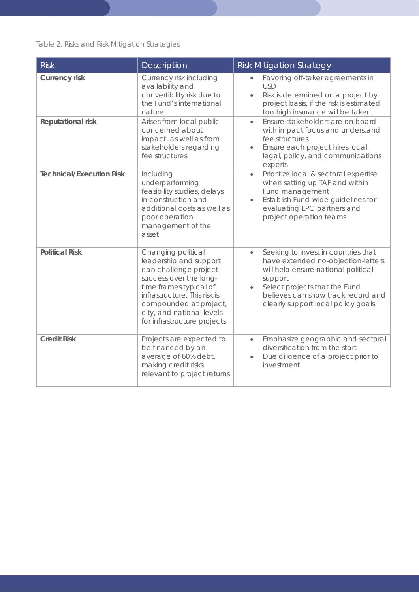*Table 2. Risks and Risk Mitigation Strategies*

| <b>Risk</b>                     | Description                                                                                                                                                                                                                                     | <b>Risk Mitigation Strategy</b>                                                                                                                                                                                                                       |
|---------------------------------|-------------------------------------------------------------------------------------------------------------------------------------------------------------------------------------------------------------------------------------------------|-------------------------------------------------------------------------------------------------------------------------------------------------------------------------------------------------------------------------------------------------------|
| <b>Currency risk</b>            | Currency risk including<br>availability and<br>convertibility risk due to<br>the Fund's international<br>nature                                                                                                                                 | Favoring off-taker agreements in<br><b>USD</b><br>Risk is determined on a project by<br>$\bullet$<br>project basis, if the risk is estimated<br>too high insurance will be taken                                                                      |
| <b>Reputational risk</b>        | Arises from local public<br>concerned about<br>impact, as well as from<br>stakeholders regarding<br>fee structures                                                                                                                              | Ensure stakeholders are on board<br>$\bullet$<br>with impact focus and understand<br>fee structures<br>Ensure each project hires local<br>$\bullet$<br>legal, policy, and communications<br>experts                                                   |
| <b>Technical/Execution Risk</b> | Including<br>underperforming<br>feasibility studies, delays<br>in construction and<br>additional costs as well as<br>poor operation<br>management of the<br>asset                                                                               | Prioritize local & sectoral expertise<br>$\bullet$<br>when setting up TAF and within<br>Fund management<br>Establish Fund-wide guidelines for<br>evaluating EPC partners and<br>project operation teams                                               |
| <b>Political Risk</b>           | Changing political<br>leadership and support<br>can challenge project<br>success over the long-<br>time frames typical of<br>infrastructure. This risk is<br>compounded at project,<br>city, and national levels<br>for infrastructure projects | Seeking to invest in countries that<br>$\bullet$<br>have extended no-objection-letters<br>will help ensure national political<br>support<br>Select projects that the Fund<br>believes can show track record and<br>clearly support local policy goals |
| <b>Credit Risk</b>              | Projects are expected to<br>be financed by an<br>average of 60% debt,<br>making credit risks<br>relevant to project returns                                                                                                                     | Emphasize geographic and sectoral<br>$\bullet$<br>diversification from the start<br>Due diligence of a project prior to<br>investment                                                                                                                 |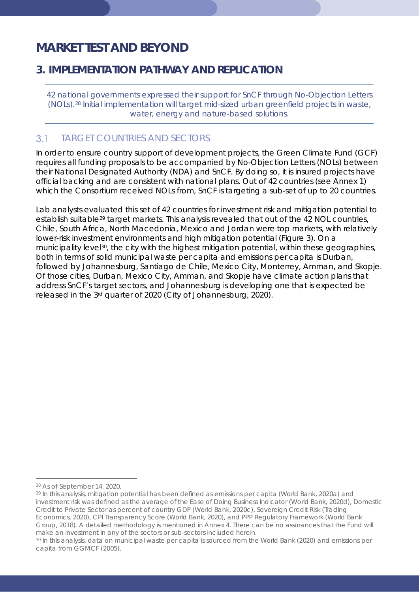# <span id="page-17-0"></span>*MARKET TEST AND BEYOND*

# <span id="page-17-1"></span>**3. IMPLEMENTATION PATHWAY AND REPLICATION**

*42 national governments expressed their support for SnCF through No-Objection Letters (NOLs).[28](#page-17-3) Initial implementation will target mid-sized urban greenfield projects in waste, water, energy and nature-based solutions.* 

#### <span id="page-17-2"></span> $3.1$ TARGET COUNTRIES AND SECTORS

In order to ensure country support of development projects, the Green Climate Fund (GCF) requires all funding proposals to be accompanied by No-Objection Letters (NOLs) between their National Designated Authority (NDA) and SnCF. By doing so, it is insured projects have official backing and are consistent with national plans. Out of 42 countries (see Annex 1) which the Consortium received NOLs from, SnCF is targeting a sub-set of up to 20 countries.

Lab analysts evaluated this set of 42 countries for investment risk and mitigation potential to establish suitable<sup>29</sup> target markets. This analysis revealed that out of the 42 NOL countries, Chile, South Africa, North Macedonia, Mexico and Jordan were top markets, with relatively lower-risk investment environments and high mitigation potential (Figure 3). On a municipality level<sup>[30](#page-17-5)</sup>, the city with the highest mitigation potential, within these geographies, both in terms of solid municipal waste per capita and emissions per capita is Durban, followed by Johannesburg, Santiago de Chile, Mexico City, Monterrey, Amman, and Skopje. Of those cities, Durban, Mexico City, Amman, and Skopje have climate action plans that address SnCF's target sectors, and Johannesburg is developing one that is expected be released in the 3rd quarter of 2020 (City of Johannesburg, 2020).

<span id="page-17-3"></span><sup>28</sup> As of September 14, 2020.

<span id="page-17-4"></span><sup>29</sup> In this analysis, mitigation potential has been defined as emissions per capita (World Bank, 2020a) and investment risk was defined as the average of the Ease of Doing Business Indicator (World Bank, 2020d), Domestic Credit to Private Sector as percent of country GDP (World Bank, 2020c), Sovereign Credit Risk (Trading Economics, 2020), CPI Transparency Score (World Bank, 2020), and PPP Regulatory Framework (World Bank Group, 2018). A detailed methodology is mentioned in Annex 4. There can be no assurances that the Fund will

<span id="page-17-5"></span>make an investment in any of the sectors or sub-sectors included herein.<br><sup>30</sup> In this analysis, data on municipal waste per capita is sourced from the World Bank (2020) and emissions per capita from GGMCF (2005).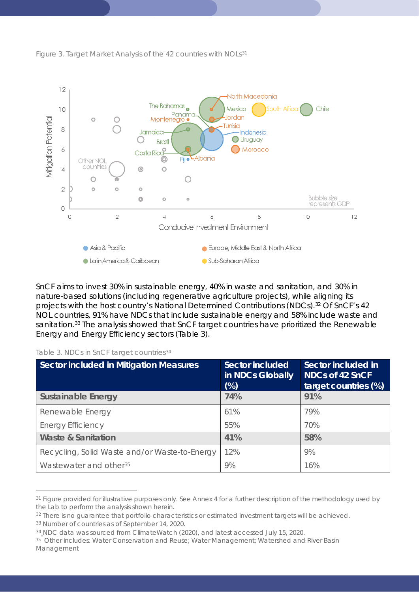



SnCF aims to invest 30% in sustainable energy, 40% in waste and sanitation, and 30% in nature-based solutions (including regenerative agriculture projects), while aligning its projects with the host country's National Determined Contributions (NDCs).[32](#page-18-1) Of SnCF's 42 NOL countries, 91% have NDCs that include sustainable energy and 58% include waste and sanitation.<sup>[33](#page-18-2)</sup> The analysis showed that SnCF target countries have prioritized the Renewable Energy and Energy Efficiency sectors (Table 3).

| Table 3. NDCs in SnCF target countries <sup>34</sup> |  |
|------------------------------------------------------|--|
|------------------------------------------------------|--|

| <b>Sector included in Mitigation Measures</b> | <b>Sector included</b><br>in NDCs Globally<br>$(\%)$ | Sector included in<br><b>NDCs of 42 SnCF</b><br>target countries (%) |
|-----------------------------------------------|------------------------------------------------------|----------------------------------------------------------------------|
| <b>Sustainable Energy</b>                     | 74%                                                  | 91%                                                                  |
| Renewable Energy                              | 61%                                                  | 79%                                                                  |
| <b>Energy Efficiency</b>                      | 55%                                                  | 70%                                                                  |
| <b>Waste &amp; Sanitation</b>                 | 41%                                                  | 58%                                                                  |
| Recycling, Solid Waste and/or Waste-to-Energy | 12%                                                  | 9%                                                                   |
| Wastewater and other <sup>35</sup>            | 9%                                                   | 16%                                                                  |

<span id="page-18-0"></span><sup>&</sup>lt;sup>31</sup> Figure provided for illustrative purposes only. See Annex 4 for a further description of the methodology used by the Lab to perform the analysis shown herein.

<span id="page-18-1"></span><sup>&</sup>lt;sup>32</sup> There is no quarantee that portfolio characteristics or estimated investment targets will be achieved.

<span id="page-18-2"></span><sup>33</sup> Number of countries as of September 14, 2020.

<span id="page-18-3"></span><sup>34</sup> NDC data was sourced from ClimateWatch (2020), and latest accessed July 15, 2020.

<span id="page-18-4"></span><sup>&</sup>lt;sup>35</sup> Other includes: Water Conservation and Reuse; Water Management; Watershed and River Basin Management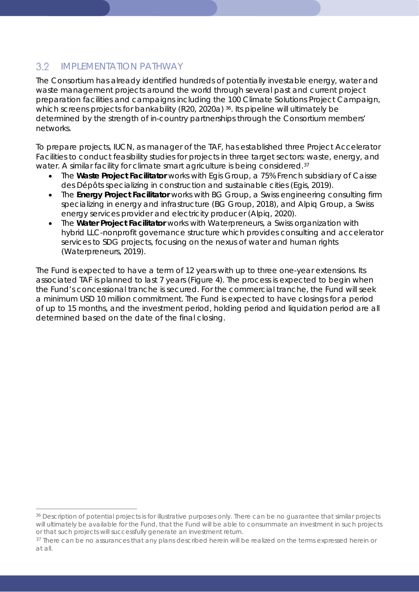### <span id="page-19-0"></span> $3.2$ IMPI FMENTATION PATHWAY

The Consortium has already identified hundreds of potentially investable energy, water and waste management projects around the world through several past and current project preparation facilities and campaigns including the 100 Climate Solutions Project Campaign, which screens projects for bankability (R20, 2020a) [36](#page-19-1). Its pipeline will ultimately be determined by the strength of in-country partnerships through the Consortium members' networks.

To prepare projects, IUCN, as manager of the TAF, has established three Project Accelerator Facilities to conduct feasibility studies for projects in three target sectors: waste, energy, and water. A similar facility for climate smart agriculture is being considered.<sup>[37](#page-19-2)</sup>

- The **Waste Project Facilitator** works with Egis Group, a 75% French subsidiary of Caisse des Dépôts specializing in construction and sustainable cities (Egis, 2019).
- The **Energy Project Facilitator** works with BG Group, a Swiss engineering consulting firm specializing in energy and infrastructure (BG Group, 2018), and Alpiq Group, a Swiss energy services provider and electricity producer (Alpiq, 2020).
- The **Water Project Facilitator** works with Waterpreneurs, a Swiss organization with hybrid LLC-nonprofit governance structure which provides consulting and accelerator services to SDG projects, focusing on the nexus of water and human rights (Waterpreneurs, 2019).

The Fund is expected to have a term of 12 years with up to three one-year extensions. Its associated TAF is planned to last 7 years (Figure 4). The process is expected to begin when the Fund's concessional tranche is secured. For the commercial tranche, the Fund will seek a minimum USD 10 million commitment. The Fund is expected to have closings for a period of up to 15 months, and the investment period, holding period and liquidation period are all determined based on the date of the final closing.

<span id="page-19-1"></span><sup>&</sup>lt;sup>36</sup> Description of potential projects is for illustrative purposes only. There can be no guarantee that similar projects will ultimately be available for the Fund, that the Fund will be able to consummate an investment in such projects or that such projects will successfully generate an investment return.

<span id="page-19-2"></span><sup>37</sup> There can be no assurances that any plans described herein will be realized on the terms expressed herein or at all.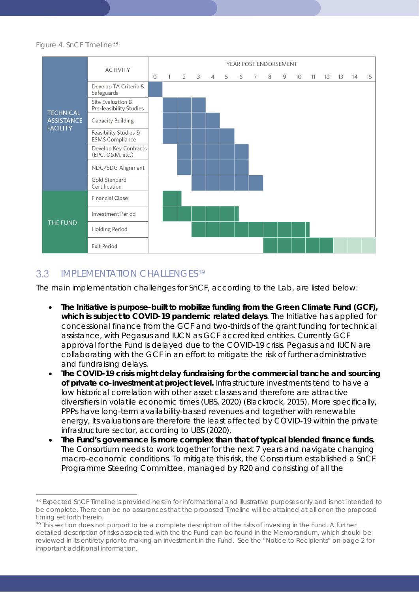### *Figure 4. SnCF Timeline*[38](#page-20-1)



#### <span id="page-20-0"></span> $3.3$ IMPLEMENTATION CHALLENGES[39](#page-20-2)

The main implementation challenges for SnCF, according to the Lab, are listed below:

- **The Initiative is purpose-built to mobilize funding from the Green Climate Fund (GCF), which is subject to COVID-19 pandemic related delays**. The Initiative has applied for concessional finance from the GCF and two-thirds of the grant funding for technical assistance, with Pegasus and IUCN as GCF accredited entities. Currently GCF approval for the Fund is delayed due to the COVID-19 crisis. Pegasus and IUCN are collaborating with the GCF in an effort to mitigate the risk of further administrative and fundraising delays.
- **The COVID-19 crisis might delay fundraising for the commercial tranche and sourcing of private co-investment at project level.** Infrastructure investments tend to have a low historical correlation with other asset classes and therefore are attractive diversifiers in volatile economic times (UBS, 2020) (Blackrock, 2015). More specifically, PPPs have long-term availability-based revenues and together with renewable energy, its valuations are therefore the least affected by COVID-19 within the private infrastructure sector, according to UBS (2020).
- **The Fund's governance is more complex than that of typical blended finance funds.**  The Consortium needs to work together for the next 7 years and navigate changing macro-economic conditions. To mitigate this risk, the Consortium established a SnCF Programme Steering Committee, managed by R20 and consisting of all the

<span id="page-20-1"></span><sup>38</sup> Expected SnCF Timeline is provided herein for informational and illustrative purposes only and is not intended to be complete. There can be no assurances that the proposed Timeline will be attained at all or on the proposed timing set forth herein.

<span id="page-20-2"></span><sup>&</sup>lt;sup>39</sup> This section does not purport to be a complete description of the risks of investing in the Fund. A further detailed description of risks associated with the the Fund can be found in the Memorandum, which should be reviewed in its entirety prior to making an investment in the Fund. See the "Notice to Recipients" on page 2 for important additional information.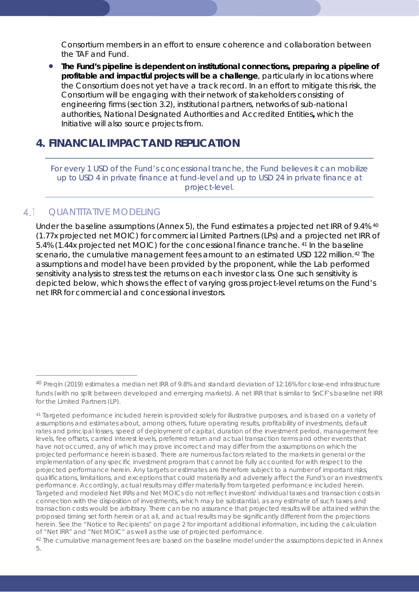Consortium members in an effort to ensure coherence and collaboration between the TAF and Fund.

• **The Fund's pipeline is dependent on institutional connections, preparing a pipeline of profitable and impactful projects will be a challenge**, particularly in locations where the Consortium does not yet have a track record. In an effort to mitigate this risk, the Consortium will be engaging with their network of stakeholders consisting of engineering firms (section 3.2), institutional partners, networks of sub-national authorities, National Designated Authorities and Accredited Entities**,** which the Initiative will also source projects from.

## <span id="page-21-0"></span>**4. FINANCIAL IMPACT AND REPLICATION**

*For every 1 USD of the Fund's concessional tranche, the Fund believes it can mobilize up to USD 4 in private finance at fund-level and up to USD 24 in private finance at project-level.* 

#### <span id="page-21-1"></span> $4.1$ QUANTITATIVE MODELING

Under the baseline assumptions (Annex 5), the Fund estimates a projected net IRR of 9.4% [40](#page-21-2) (1.77x projected net MOIC) for commercial Limited Partners (LPs) and a projected net IRR of 5.4% (1.44x projected net MOIC) for the concessional finance tranche. [41](#page-21-3) In the baseline scenario, the cumulative management fees amount to an estimated USD 122 million.<sup>[42](#page-21-4)</sup> The assumptions and model have been provided by the proponent, while the Lab performed sensitivity analysis to stress test the returns on each investor class. One such sensitivity is depicted below, which shows the effect of varying gross project-level returns on the Fund's net IRR for commercial and concessional investors.

<span id="page-21-2"></span><sup>40</sup> Preqin (2019) estimates a median net IRR of 9.8% and standard deviation of 12.16% for close-end infrastructure funds (with no split between developed and emerging markets). A net IRR that is similar to SnCF's baseline net IRR for the Limited Partners (LP).

<span id="page-21-3"></span><sup>41</sup> Targeted performance included herein is provided solely for illustrative purposes, and is based on a variety of assumptions and estimates about, among others, future operating results, profitability of investments, default rates and principal losses, speed of deployment of capital, duration of the investment period, management fee levels, fee offsets, carried interest levels, preferred return and actual transaction terms and other events that have not occurred, any of which may prove incorrect and may differ from the assumptions on which the projected performance herein is based. There are numerous factors related to the markets in general or the implementation of any specific investment program that cannot be fully accounted for with respect to the projected performance herein. Any targets or estimates are therefore subject to a number of important risks, qualifications, limitations, and exceptions that could materially and adversely affect the Fund's or an investment's performance. Accordingly, actual results may differ materially from targeted performance included herein. Targeted and modeled Net IRRs and Net MOICs do not reflect investors' individual taxes and transaction costs in connection with the disposition of investments, which may be substantial, as any estimate of such taxes and transaction costs would be arbitrary. There can be no assurance that projected results will be attained within the proposed timing set forth herein or at all, and actual results may be significantly different from the projections herein. See the "Notice to Recipients" on page 2 for important additional information, including the calculation of "Net IRR" and "Net MOIC" as well as the use of projected performance.

<span id="page-21-4"></span><sup>42</sup> The cumulative management fees are based on the baseline model under the assumptions depicted in Annex 5.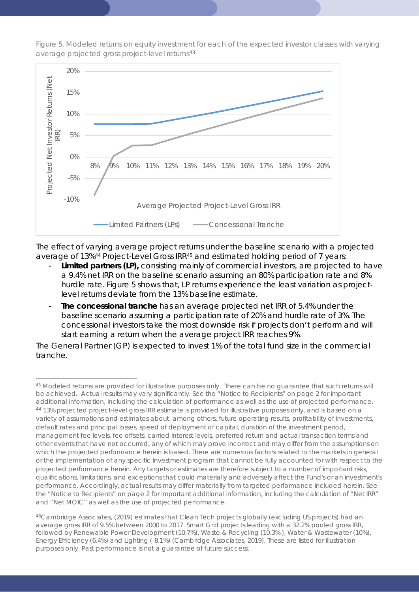

*Figure 5. Modeled returns on equity investment for each of the expected investor classes with varying average projected gross project-level returns*[43](#page-22-0)

The effect of varying average project returns under the baseline scenario with a projected average of 13%<sup>[44](#page-22-1)</sup> Project-Level Gross IRR<sup>[45](#page-22-2)</sup> and estimated holding period of 7 years:

- Limited partners (LP), consisting mainly of commercial investors, are projected to have a 9.4% net IRR on the baseline scenario assuming an 80% participation rate and 8% hurdle rate. Figure 5 shows that, LP returns experience the least variation as projectlevel returns deviate from the 13% baseline estimate.
- **The concessional tranche** has an average projected net IRR of 5.4% under the baseline scenario assuming a participation rate of 20% and hurdle rate of 3%. The concessional investors take the most downside risk if projects don't perform and will start earning a return when the average project IRR reaches 9%.

The General Partner (GP) is expected to invest 1% of the total fund size in the commercial tranche.

<span id="page-22-1"></span><span id="page-22-0"></span><sup>43</sup> Modeled returns are provided for illustrative purposes only. There can be no guarantee that such returns will be achieved. Actual results may vary significantly. See the "Notice to Recipients" on page 2 for important additional information, including the calculation of performance as well as the use of projected performance. 44 13% projected project-level gross IRR estimate is provided for illustrative purposes only, and is based on a variety of assumptions and estimates about, among others, future operating results, profitability of investments, default rates and principal losses, speed of deployment of capital, duration of the investment period, management fee levels, fee offsets, carried interest levels, preferred return and actual transaction terms and other events that have not occurred, any of which may prove incorrect and may differ from the assumptions on which the projected performance herein is based. There are numerous factors related to the markets in general or the implementation of any specific investment program that cannot be fully accounted for with respect to the projected performance herein. Any targets or estimates are therefore subject to a number of important risks, qualifications, limitations, and exceptions that could materially and adversely affect the Fund's or an investment's performance. Accordingly, actual results may differ materially from targeted performance included herein. See the "Notice to Recipients" on page 2 for important additional information, including the calculation of "Net IRR" and "Net MOIC" as well as the use of projected performance.

<span id="page-22-2"></span><sup>45</sup>Cambridge Associates, (2019) estimates that Clean Tech projects globally (excluding US projects) had an average gross IRR of 9.5% between 2000 to 2017. Smart Grid projects leading with a 32.2% pooled gross IRR, followed by Renewable Power Development (10.7%), Waste & Recycling (10.3% ), Water & Wastewater (10%), Energy Efficiency (6.4%) and Lighting (-8.1%) (Cambridge Associates, 2019). These are listed for illustration purposes only. Past performance is not a guarantee of future success.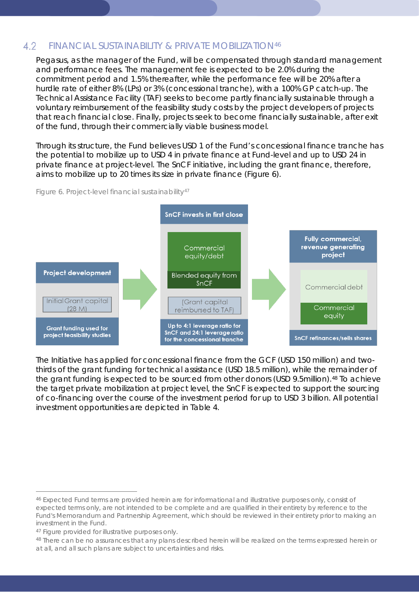#### <span id="page-23-0"></span>4.2 FINANCIAL SUSTAINABILITY & PRIVATE MOBILIZATION[46](#page-23-1)

Pegasus, as the manager of the Fund, will be compensated through standard management and performance fees. The management fee is expected to be 2.0% during the commitment period and 1.5% thereafter, while the performance fee will be 20% after a hurdle rate of either 8% (LPs) or 3% (concessional tranche), with a 100% GP catch-up. The Technical Assistance Facility (TAF) seeks to become partly financially sustainable through a voluntary reimbursement of the feasibility study costs by the project developers of projects that reach financial close. Finally, projects seek to become financially sustainable, after exit of the fund, through their commercially viable business model.

Through its structure, the Fund believes USD 1 of the Fund's concessional finance tranche has the potential to mobilize up to USD 4 in private finance at Fund-level and up to USD 24 in private finance at project-level. The SnCF initiative, including the grant finance, therefore, aims to mobilize up to 20 times its size in private finance (Figure 6).





The Initiative has applied for concessional finance from the GCF (USD 150 million) and twothirds of the grant funding for technical assistance (USD 18.5 million), while the remainder of the grant funding is expected to be sourced from other donors (USD 9.5million).<sup>[48](#page-23-3)</sup> To achieve the target private mobilization at project level, the SnCF is expected to support the sourcing of co-financing over the course of the investment period for up to USD 3 billion. All potential investment opportunities are depicted in Table 4.

<span id="page-23-1"></span><sup>46</sup> Expected Fund terms are provided herein are for informational and illustrative purposes only, consist of expected terms only, are not intended to be complete and are qualified in their entirety by reference to the Fund's Memorandum and Partnership Agreement, which should be reviewed in their entirety prior to making an investment in the Fund.

<span id="page-23-3"></span><span id="page-23-2"></span><sup>&</sup>lt;sup>47</sup> Figure provided for illustrative purposes only.<br><sup>48</sup> There can be no assurances that any plans described herein will be realized on the terms expressed herein or at all, and all such plans are subject to uncertainties and risks.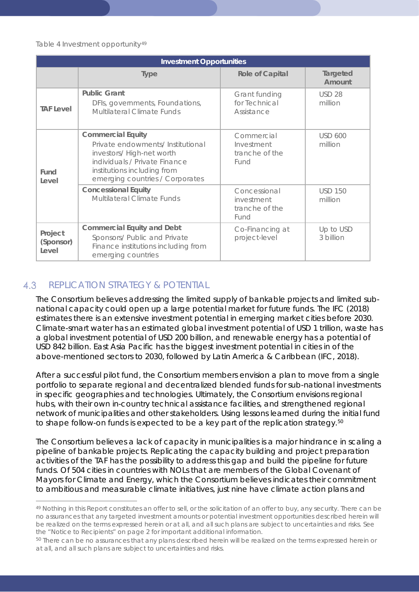### *Table 4 Investment opportunity[49](#page-24-1)*

| <b>Investment Opportunities</b> |                                                                                                                                                                                              |                                                      |                           |
|---------------------------------|----------------------------------------------------------------------------------------------------------------------------------------------------------------------------------------------|------------------------------------------------------|---------------------------|
|                                 | <b>Type</b>                                                                                                                                                                                  | <b>Role of Capital</b>                               | Targeted<br>Amount        |
| <b>TAF Level</b>                | <b>Public Grant</b><br>DFIs, governments, Foundations,<br>Multilateral Climate Funds                                                                                                         | Grant funding<br>for Technical<br>Assistance         | <b>USD 28</b><br>million  |
| Fund<br>Level                   | <b>Commercial Equity</b><br>Private endowments/ Institutional<br>investors/High-net worth<br>individuals / Private Finance<br>institutions including from<br>emerging countries / Corporates | Commercial<br>Investment<br>tranche of the<br>Fund   | <b>USD 600</b><br>million |
|                                 | <b>Concessional Equity</b><br><b>Multilateral Climate Funds</b>                                                                                                                              | Concessional<br>investment<br>tranche of the<br>Fund | <b>USD 150</b><br>million |
| Project<br>(Sponsor)<br>Level   | <b>Commercial Equity and Debt</b><br>Sponsors/ Public and Private<br>Finance institutions including from<br>emerging countries                                                               | Co-Financing at<br>project-level                     | Up to USD<br>3 billion    |

#### <span id="page-24-0"></span> $4.3$ REPLICATION STRATEGY & POTENTIAL

The Consortium believes addressing the limited supply of bankable projects and limited subnational capacity could open up a large potential market for future funds. The IFC (2018) estimates there is an extensive investment potential in emerging market cities before 2030. Climate-smart water has an estimated global investment potential of USD 1 trillion, waste has a global investment potential of USD 200 billion, and renewable energy has a potential of USD 842 billion. East Asia Pacific has the biggest investment potential in cities in of the above-mentioned sectors to 2030, followed by Latin America & Caribbean (IFC, 2018).

After a successful pilot fund, the Consortium members envision a plan to move from a single portfolio to separate regional and decentralized blended funds for sub-national investments in specific geographies and technologies. Ultimately, the Consortium envisions regional hubs, with their own in-country technical assistance facilities, and strengthened regional network of municipalities and other stakeholders. Using lessons learned during the initial fund to shape follow-on funds is expected to be a key part of the replication strategy.<sup>[50](#page-24-2)</sup>

The Consortium believes a lack of capacity in municipalities is a major hindrance in scaling a pipeline of bankable projects. Replicating the capacity building and project preparation activities of the TAF has the possibility to address this gap and build the pipeline for future funds. Of 504 cities in countries with NOLs that are members of the Global Covenant of Mayors for Climate and Energy, which the Consortium believes indicates their commitment to ambitious and measurable climate initiatives, just nine have climate action plans and

<span id="page-24-1"></span><sup>&</sup>lt;sup>49</sup> Nothing in this Report constitutes an offer to sell, or the solicitation of an offer to buy, any security. There can be no assurances that any targeted investment amounts or potential investment opportunities described herein will be realized on the terms expressed herein or at all, and all such plans are subject to uncertainties and risks. See the "Notice to Recipients" on page 2 for important additional information.

<span id="page-24-2"></span><sup>50</sup> There can be no assurances that any plans described herein will be realized on the terms expressed herein or at all, and all such plans are subject to uncertainties and risks.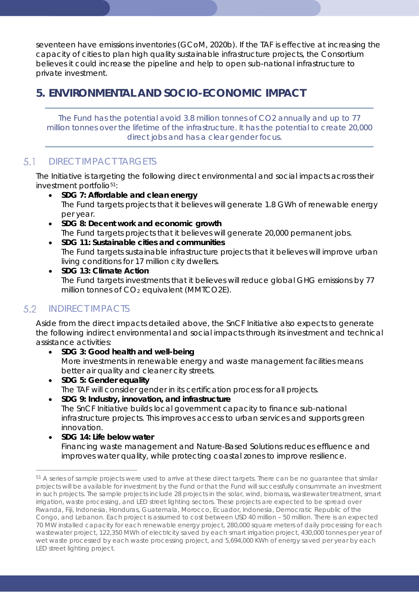seventeen have emissions inventories (GCoM, 2020b). If the TAF is effective at increasing the capacity of cities to plan high quality sustainable infrastructure projects, the Consortium believes it could increase the pipeline and help to open sub-national infrastructure to private investment.

# <span id="page-25-0"></span>**5. ENVIRONMENTAL AND SOCIO-ECONOMIC IMPACT**

*The Fund has the potential avoid 3.8 million tonnes of CO2 annually and up to 77 million tonnes over the lifetime of the infrastructure. It has the potential to create 20,000 direct jobs and has a clear gender focus.* 

#### <span id="page-25-1"></span> $5.1$ DIRECT IMPACT TARGETS

The Initiative is targeting the following direct environmental and social impacts across their investment portfolio<sup>[51](#page-25-3)</sup>:

- **SDG 7: Affordable and clean energy** The Fund targets projects that it believes will generate 1.8 GWh of renewable energy per year.
- **SDG 8: Decent work and economic growth** The Fund targets projects that it believes will generate 20,000 permanent jobs.
- **SDG 11: Sustainable cities and communities** The Fund targets sustainable infrastructure projects that it believes will improve urban living conditions for 17 million city dwellers.
- **SDG 13: Climate Action** The Fund targets investments that it believes will reduce global GHG emissions by 77 million tonnes of  $CO<sub>2</sub>$  equivalent (MMTCO2E).

### <span id="page-25-2"></span> $5.2$ INDIRECT IMPACTS

Aside from the direct impacts detailed above, the SnCF Initiative also expects to generate the following indirect environmental and social impacts through its investment and technical assistance activities:

- **SDG 3: Good health and well-being** More investments in renewable energy and waste management facilities means better air quality and cleaner city streets.
- **SDG 5: Gender equality** The TAF will consider gender in its certification process for all projects.
- **SDG 9: Industry, innovation, and infrastructure** The SnCF Initiative builds local government capacity to finance sub-national infrastructure projects. This improves access to urban services and supports green innovation.
- **SDG 14: Life below water** Financing waste management and Nature-Based Solutions reduces effluence and improves water quality, while protecting coastal zones to improve resilience.

<span id="page-25-3"></span><sup>&</sup>lt;sup>51</sup> A series of sample projects were used to arrive at these direct targets. There can be no guarantee that similar projects will be available for investment by the Fund or that the Fund will successfully consummate an investment in such projects. The sample projects include 28 projects in the solar, wind, biomass, wastewater treatment, smart irrigation, waste processing, and LED street lighting sectors. These projects are expected to be spread over Rwanda, Fiji, Indonesia, Honduras, Guatemala, Morocco, Ecuador, Indonesia, Democratic Republic of the Congo, and Lebanon. Each project is assumed to cost between USD 40 million – 50 million. There is an expected 70 MW installed capacity for each renewable energy project, 280,000 square meters of daily processing for each wastewater project, 122,350 MWh of electricity saved by each smart irrigation project, 430,000 tonnes per year of wet waste processed by each waste processing project, and 5,694,000 KWh of energy saved per year by each LED street lighting project.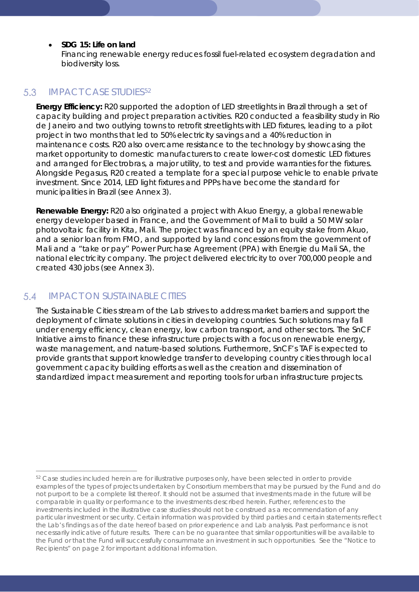### • **SDG 15: Life on land**

Financing renewable energy reduces fossil fuel-related ecosystem degradation and biodiversity loss.

#### <span id="page-26-0"></span> $5.3$ IMPACT CASE STUDIES[52](#page-26-2)

**Energy Efficiency:** R20 supported the adoption of LED streetlights in Brazil through a set of capacity building and project preparation activities. R20 conducted a feasibility study in Rio de Janeiro and two outlying towns to retrofit streetlights with LED fixtures, leading to a pilot project in two months that led to 50% electricity savings and a 40% reduction in maintenance costs. R20 also overcame resistance to the technology by showcasing the market opportunity to domestic manufacturers to create lower-cost domestic LED fixtures and arranged for Electrobras, a major utility, to test and provide warranties for the fixtures. Alongside Pegasus, R20 created a template for a special purpose vehicle to enable private investment. Since 2014, LED light fixtures and PPPs have become the standard for municipalities in Brazil (see Annex 3).

**Renewable Energy:** R20 also originated a project with Akuo Energy, a global renewable energy developer based in France, and the Government of Mali to build a 50 MW solar photovoltaic facility in Kita, Mali. The project was financed by an equity stake from Akuo, and a senior loan from FMO, and supported by land concessions from the government of Mali and a "take or pay" Power Purchase Agreement (PPA) with Energie du Mali SA, the national electricity company. The project delivered electricity to over 700,000 people and created 430 jobs (see Annex 3).

#### <span id="page-26-1"></span> $5.4$ IMPACT ON SUSTAINABLE CITIES

The Sustainable Cities stream of the Lab strives to address market barriers and support the deployment of climate solutions in cities in developing countries. Such solutions may fall under energy efficiency, clean energy, low carbon transport, and other sectors. The SnCF Initiative aims to finance these infrastructure projects with a focus on renewable energy, waste management, and nature-based solutions. Furthermore, SnCF's TAF is expected to provide grants that support knowledge transfer to developing country cities through local government capacity building efforts as well as the creation and dissemination of standardized impact measurement and reporting tools for urban infrastructure projects.

<span id="page-26-2"></span><sup>&</sup>lt;sup>52</sup> Case studies included herein are for illustrative purposes only, have been selected in order to provide examples of the types of projects undertaken by Consortium members that may be pursued by the Fund and do not purport to be a complete list thereof. It should not be assumed that investments made in the future will be comparable in quality or performance to the investments described herein. Further, references to the investments included in the illustrative case studies should not be construed as a recommendation of any particular investment or security. Certain information was provided by third parties and certain statements reflect the Lab's findings as of the date hereof based on prior experience and Lab analysis. Past performance is not necessarily indicative of future results. There can be no guarantee that similar opportunities will be available to the Fund or that the Fund will successfully consummate an investment in such opportunities. See the "Notice to Recipients" on page 2 for important additional information.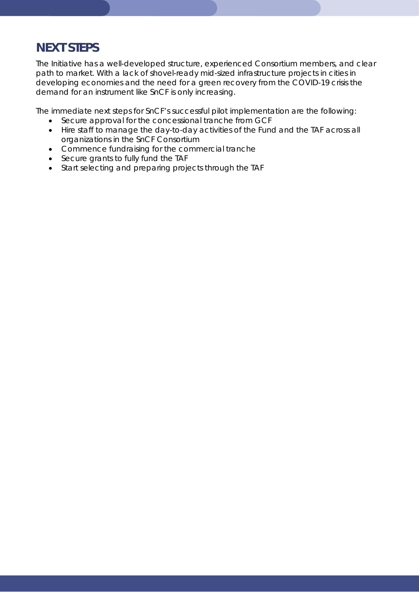# <span id="page-27-0"></span>*NEXT STEPS*

The Initiative has a well-developed structure, experienced Consortium members, and clear path to market. With a lack of shovel-ready mid-sized infrastructure projects in cities in developing economies and the need for a green recovery from the COVID-19 crisis the demand for an instrument like SnCF is only increasing.

The immediate next steps for SnCF's successful pilot implementation are the following:

- Secure approval for the concessional tranche from GCF
- Hire staff to manage the day-to-day activities of the Fund and the TAF across all organizations in the SnCF Consortium
- Commence fundraising for the commercial tranche
- Secure grants to fully fund the TAF
- Start selecting and preparing projects through the TAF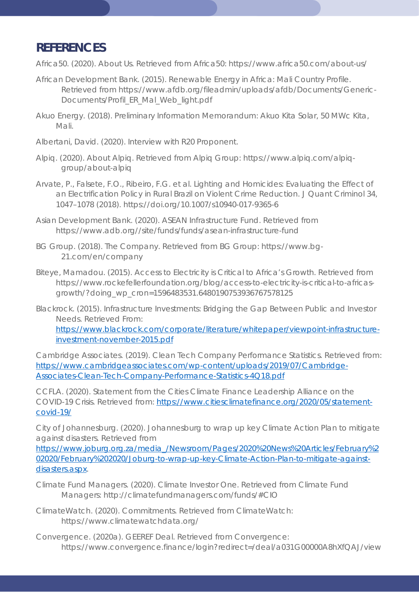# <span id="page-28-0"></span>*REFERENCES*

Africa50. (2020). *About Us*. Retrieved from Africa50: https://www.africa50.com/about-us/

- African Development Bank. (2015). Renewable Energy in Africa: Mali Country Profile. Retrieved from https://www.afdb.org/fileadmin/uploads/afdb/Documents/Generic-Documents/Profil\_ER\_Mal\_Web\_light.pdf
- Akuo Energy. (2018). Preliminary Information Memorandum: Akuo Kita Solar, 50 MWc Kita, Mali.
- Albertani, David. (2020). Interview with R20 Proponent.
- Alpiq. (2020). *About Alpiq*. Retrieved from Alpiq Group: https://www.alpiq.com/alpiqgroup/about-alpiq
- Arvate, P., Falsete, F.O., Ribeiro, F.G. et al. Lighting and Homicides: Evaluating the Effect of an Electrification Policy in Rural Brazil on Violent Crime Reduction. J Quant Criminol 34, 1047–1078 (2018). https://doi.org/10.1007/s10940-017-9365-6
- Asian Development Bank. (2020). ASEAN Infrastructure Fund. Retrieved from https://www.adb.org//site/funds/funds/asean-infrastructure-fund
- BG Group. (2018). *The Company*. Retrieved from BG Group: https://www.bg-21.com/en/company
- Biteye, Mamadou. (2015). Access to Electricity is Critical to Africa's Growth. Retrieved from https://www.rockefellerfoundation.org/blog/access-to-electricity-is-critical-to-africasgrowth/?doing\_wp\_cron=1596483531.6480190753936767578125
- Blackrock. (2015). *Infrastructure Investments: Bridging the Gap Between Public and Investor Needs.* Retrieved From:

[https://www.blackrock.com/corporate/literature/whitepaper/viewpoint-infrastructure](https://www.blackrock.com/corporate/literature/whitepaper/viewpoint-infrastructure-investment-november-2015.pdf)[investment-november-2015.pdf](https://www.blackrock.com/corporate/literature/whitepaper/viewpoint-infrastructure-investment-november-2015.pdf)

Cambridge Associates. (2019). *Clean Tech Company Performance Statistics.* Retrieved from: [https://www.cambridgeassociates.com/wp-content/uploads/2019/07/Cambridge-](https://www.cambridgeassociates.com/wp-content/uploads/2019/07/Cambridge-Associates-Clean-Tech-Company-Performance-Statistics-4Q18.pdf)[Associates-Clean-Tech-Company-Performance-Statistics-4Q18.pdf](https://www.cambridgeassociates.com/wp-content/uploads/2019/07/Cambridge-Associates-Clean-Tech-Company-Performance-Statistics-4Q18.pdf)

CCFLA. (2020). *Statement from the Cities Climate Finance Leadership Alliance on the COVID-19 Crisis.* Retrieved from: [https://www.citiesclimatefinance.org/2020/05/statement](https://www.citiesclimatefinance.org/2020/05/statement-covid-19/)[covid-19/](https://www.citiesclimatefinance.org/2020/05/statement-covid-19/)

City of Johannesburg. (2020). *Johannesburg to wrap up key Climate Action Plan to mitigate against disasters*. Retrieved from

[https://www.joburg.org.za/media\\_/Newsroom/Pages/2020%20News%20Articles/February%2](https://www.joburg.org.za/media_/Newsroom/Pages/2020%20News%20Articles/February%202020/February%202020/Joburg-to-wrap-up-key-Climate-Action-Plan-to-mitigate-against-disasters.aspx) [02020/February%202020/Joburg-to-wrap-up-key-Climate-Action-Plan-to-mitigate-against](https://www.joburg.org.za/media_/Newsroom/Pages/2020%20News%20Articles/February%202020/February%202020/Joburg-to-wrap-up-key-Climate-Action-Plan-to-mitigate-against-disasters.aspx)[disasters.aspx.](https://www.joburg.org.za/media_/Newsroom/Pages/2020%20News%20Articles/February%202020/February%202020/Joburg-to-wrap-up-key-Climate-Action-Plan-to-mitigate-against-disasters.aspx)

- Climate Fund Managers. (2020). *Climate Investor One*. Retrieved from Climate Fund Managers: http://climatefundmanagers.com/funds/#CIO
- ClimateWatch. (2020). *Commitments*. Retrieved from ClimateWatch: https://www.climatewatchdata.org/
- Convergence. (2020a). *GEEREF Deal*. Retrieved from Convergence: https://www.convergence.finance/login?redirect=/deal/a031G00000A8hXfQAJ/view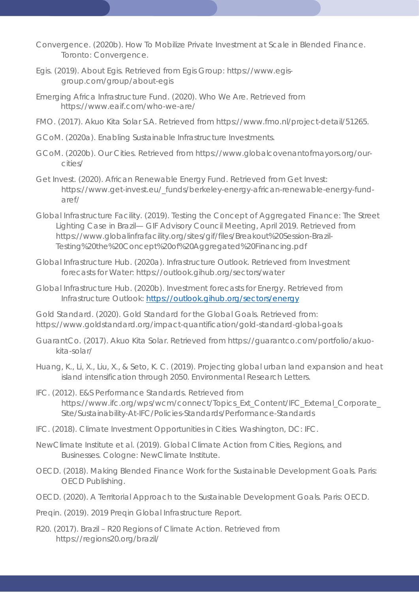Convergence. (2020b). *How To Mobilize Private Investment at Scale in Blended Finance.* Toronto: Convergence.

- Egis. (2019). *About Egis*. Retrieved from Egis Group: https://www.egisgroup.com/group/about-egis
- Emerging Africa Infrastructure Fund. (2020). Who We Are. Retrieved from https://www.eaif.com/who-we-are/
- FMO. (2017). Akuo Kita Solar S.A. Retrieved from https://www.fmo.nl/project-detail/51265.
- GCoM. (2020a). *Enabling Sustainable Infrastructure Investments*.
- GCoM. (2020b). *Our Cities*. Retrieved from https://www.globalcovenantofmayors.org/ourcities/
- Get Invest. (2020). *African Renewable Energy Fund*. Retrieved from Get Invest: https://www.get-invest.eu/\_funds/berkeley-energy-african-renewable-energy-fundaref/
- Global Infrastructure Facility. (2019). Testing the Concept of Aggregated Finance: The Street Lighting Case in Brazil— GIF Advisory Council Meeting, April 2019. Retrieved from https://www.globalinfrafacility.org/sites/gif/files/Breakout%20Session-Brazil-Testing%20the%20Concept%20of%20Aggregated%20Financing.pdf
- Global Infrastructure Hub. (2020a). *Infrastructure Outlook*. Retrieved from Investment forecasts for Water: https://outlook.gihub.org/sectors/water

Global Infrastructure Hub. (2020b). *Investment forecasts for Energy*. Retrieved from Infrastructure Outlook:<https://outlook.gihub.org/sectors/energy>

Gold Standard. (2020). *Gold Standard for the Global Goals.* Retrieved from: https://www.goldstandard.org/impact-quantification/gold-standard-global-goals

- GuarantCo. (2017). Akuo Kita Solar. Retrieved from https://guarantco.com/portfolio/akuokita-solar/
- Huang, K., Li, X., Liu, X., & Seto, K. C. (2019). Projecting global urban land expansion and heat island intensification through 2050. *Environmental Research Letters*.
- IFC. (2012). *E&S Performance Standards*. Retrieved from https://www.ifc.org/wps/wcm/connect/Topics\_Ext\_Content/IFC\_External\_Corporate\_ Site/Sustainability-At-IFC/Policies-Standards/Performance-Standards
- IFC. (2018). *Climate Investment Opportunities in Cities.* Washington, DC: IFC.
- NewClimate Institute et al. (2019). *Global Climate Action from Cities, Regions, and Businesses.* Cologne: NewClimate Institute.
- OECD. (2018). *Making Blended Finance Work for the Sustainable Development Goals.* Paris: OECD Publishing.
- OECD. (2020). *A Territorial Approach to the Sustainable Development Goals.* Paris: OECD.
- Preqin. (2019). *2019 Preqin Global Infrastructure Report.*
- R20. (2017). Brazil R20 Regions of Climate Action. Retrieved from https://regions20.org/brazil/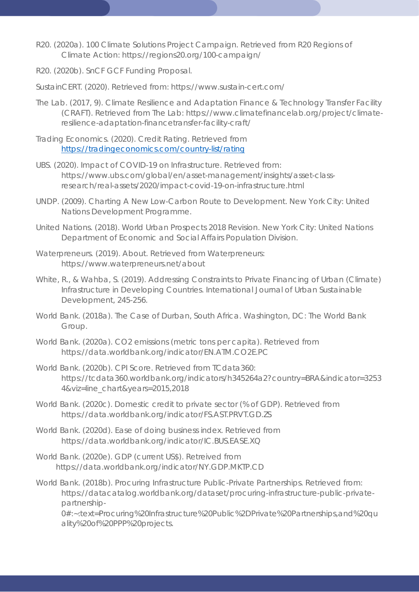- R20. (2020a). *100 Climate Solutions Project Campaign*. Retrieved from R20 Regions of Climate Action: https://regions20.org/100-campaign/
- R20. (2020b). SnCF GCF Funding Proposal.
- SustainCERT. (2020). Retrieved from: https://www.sustain-cert.com/
- The Lab. (2017, 9). *Climate Resilience and Adaptation Finance & Technology Transfer Facility (CRAFT)*. Retrieved from The Lab: https://www.climatefinancelab.org/project/climateresilience-adaptation-financetransfer-facility-craft/
- Trading Economics. (2020). *Credit Rating*. Retrieved from <https://tradingeconomics.com/country-list/rating>
- UBS. (2020). Impact of COVID-19 on Infrastructure. Retrieved from: https://www.ubs.com/global/en/asset-management/insights/asset-classresearch/real-assets/2020/impact-covid-19-on-infrastructure.html
- UNDP. (2009). *Charting A New Low-Carbon Route to Development.* New York City: United Nations Development Programme.
- United Nations. (2018). *World Urban Prospects 2018 Revision.* New York City: United Nations Department of Economic and Social Affairs Population Division.
- Waterpreneurs. (2019). *About*. Retrieved from Waterpreneurs: https://www.waterpreneurs.net/about
- White, R., & Wahba, S. (2019). Addressing Constraints to Private Financing of Urban (Climate) Infrastructure in Developing Countries. *International Journal of Urban Sustainable Development*, 245-256.
- World Bank. (2018a). *The Case of Durban, South Africa.* Washington, DC: The World Bank Group.
- World Bank. (2020a). *CO2 emissions (metric tons per capita)*. Retrieved from https://data.worldbank.org/indicator/EN.ATM.CO2E.PC
- World Bank. (2020b). *CPI Score*. Retrieved from TCdata360: https://tcdata360.worldbank.org/indicators/h345264a2?country=BRA&indicator=3253 4&viz=line\_chart&years=2015,2018
- World Bank. (2020c). *Domestic credit to private sector (% of GDP)*. Retrieved from https://data.worldbank.org/indicator/FS.AST.PRVT.GD.ZS
- World Bank. (2020d). *Ease of doing business index*. Retrieved from https://data.worldbank.org/indicator/IC.BUS.EASE.XQ
- World Bank. (2020e). GDP (current US\$). Retreived from https://data.worldbank.org/indicator/NY.GDP.MKTP.CD
- World Bank. (2018b). *Procuring Infrastructure Public-Private Partnerships.* Retrieved from: https://datacatalog.worldbank.org/dataset/procuring-infrastructure-public-privatepartnership-

0#:~:text=Procuring%20Infrastructure%20Public%2DPrivate%20Partnerships,and%20qu ality%20of%20PPP%20projects.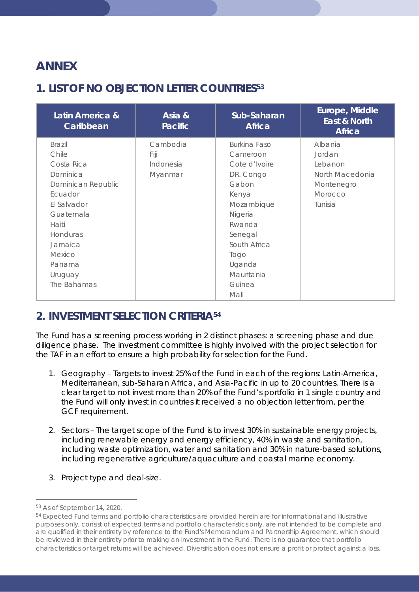# <span id="page-31-0"></span>*ANNEX*

# <span id="page-31-1"></span>**1. LIST OF NO OBJECTION LETTER COUNTRIES[53](#page-31-3)**

| Latin America &<br>Caribbean | Asia &<br><b>Pacific</b> | Sub-Saharan<br><b>Africa</b> | Europe, Middle<br>East & North<br><b>Africa</b> |
|------------------------------|--------------------------|------------------------------|-------------------------------------------------|
| <b>Brazil</b>                | Cambodia                 | <b>Burkina Faso</b>          | Albania                                         |
| Chile                        | Fiji                     | Cameroon                     | Jordan                                          |
| Costa Rica                   | Indonesia                | Cote d'Ivoire                | Lebanon                                         |
| Dominica                     | Myanmar                  | DR. Congo                    | North Macedonia                                 |
| Dominican Republic           |                          | Gabon                        | Montenegro                                      |
| Ecuador                      |                          | Kenya                        | Morocco                                         |
| El Salvador                  |                          | Mozambique                   | Tunisia                                         |
| Guatemala                    |                          | Nigeria                      |                                                 |
| Haiti                        |                          | Rwanda                       |                                                 |
| Honduras                     |                          | Senegal                      |                                                 |
| Jamaica                      |                          | South Africa                 |                                                 |
| Mexico                       |                          | Togo                         |                                                 |
| Panama                       |                          | Uganda                       |                                                 |
| Uruguay                      |                          | Mauritania                   |                                                 |
| The Bahamas                  |                          | Guinea                       |                                                 |
|                              |                          | Mali                         |                                                 |

## <span id="page-31-2"></span>**2. INVESTMENT SELECTION CRITERIA[54](#page-31-4)**

The Fund has a screening process working in 2 distinct phases: a screening phase and due diligence phase. The investment committee is highly involved with the project selection for the TAF in an effort to ensure a high probability for selection for the Fund.

- 1. Geography Targets to invest 25% of the Fund in each of the regions: Latin-America, Mediterranean, sub-Saharan Africa, and Asia-Pacific in up to 20 countries. There is a clear target to not invest more than 20% of the Fund's portfolio in 1 single country and the Fund will only invest in countries it received a no objection letter from, per the GCF requirement.
- 2. Sectors The target scope of the Fund is to invest 30% in sustainable energy projects, including renewable energy and energy efficiency, 40% in waste and sanitation, including waste optimization, water and sanitation and 30% in nature-based solutions, including regenerative agriculture/aquaculture and coastal marine economy.
- 3. Project type and deal-size.

<span id="page-31-3"></span><sup>53</sup> As of September 14, 2020.

<span id="page-31-4"></span><sup>54</sup> Expected Fund terms and portfolio characteristics are provided herein are for informational and illustrative purposes only, consist of expected terms and portfolio characteristics only, are not intended to be complete and are qualified in their entirety by reference to the Fund's Memorandum and Partnership Agreement, which should be reviewed in their entirety prior to making an investment in the Fund. There is no guarantee that portfolio characteristics or target returns will be achieved. Diversification does not ensure a profit or protect against a loss.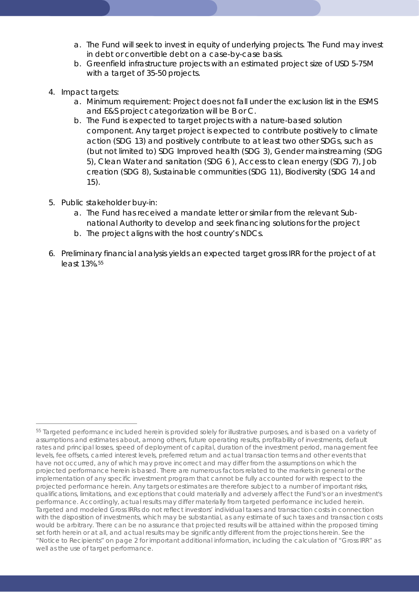- a. The Fund will seek to invest in equity of underlying projects. The Fund may invest in debt or convertible debt on a case-by-case basis.
- b. Greenfield infrastructure projects with an estimated project size of USD 5-75M with a target of 35-50 projects.
- 4. Impact targets:
	- a. Minimum requirement: Project does not fall under the exclusion list in the ESMS and E&S project categorization will be B or C.
	- b. The Fund is expected to target projects with a nature-based solution component. Any target project is expected to contribute positively to climate action (SDG 13) and positively contribute to at least two other SDGs, such as (but not limited to) SDG Improved health (SDG 3), Gender mainstreaming (SDG 5), Clean Water and sanitation (SDG 6 ), Access to clean energy (SDG 7), Job creation (SDG 8), Sustainable communities (SDG 11), Biodiversity (SDG 14 and 15).
- 5. Public stakeholder buy-in:
	- a. The Fund has received a mandate letter or similar from the relevant Subnational Authority to develop and seek financing solutions for the project
	- b. The project aligns with the host country's NDCs.
- 6. Preliminary financial analysis yields an expected target gross IRR for the project of at least 13%.[55](#page-32-0)

<span id="page-32-0"></span><sup>55</sup> Targeted performance included herein is provided solely for illustrative purposes, and is based on a variety of assumptions and estimates about, among others, future operating results, profitability of investments, default rates and principal losses, speed of deployment of capital, duration of the investment period, management fee levels, fee offsets, carried interest levels, preferred return and actual transaction terms and other events that have not occurred, any of which may prove incorrect and may differ from the assumptions on which the projected performance herein is based. There are numerous factors related to the markets in general or the implementation of any specific investment program that cannot be fully accounted for with respect to the projected performance herein. Any targets or estimates are therefore subject to a number of important risks, qualifications, limitations, and exceptions that could materially and adversely affect the Fund's or an investment's performance. Accordingly, actual results may differ materially from targeted performance included herein. Targeted and modeled Gross IRRs do not reflect investors' individual taxes and transaction costs in connection with the disposition of investments, which may be substantial, as any estimate of such taxes and transaction costs would be arbitrary. There can be no assurance that projected results will be attained within the proposed timing set forth herein or at all, and actual results may be significantly different from the projections herein. See the "Notice to Recipients" on page 2 for important additional information, including the calculation of "Gross IRR" as well as the use of target performance.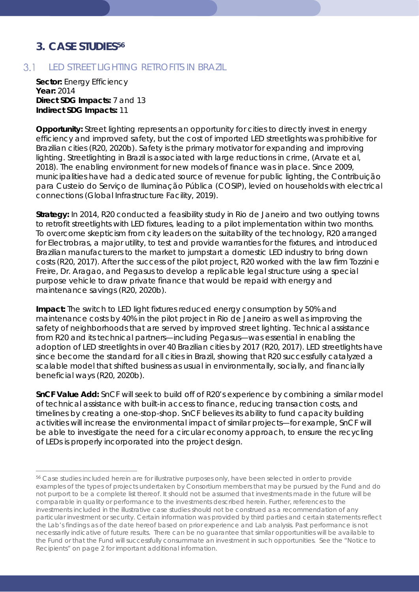## <span id="page-33-0"></span>**3. CASE STUDIES[56](#page-33-2)**

## <span id="page-33-1"></span>LED STREET LIGHTING RETROFITS IN BRAZIL

**Sector:** Energy Efficiency **Year:** 2014 **Direct SDG Impacts:** 7 and 13 **Indirect SDG Impacts:** 11

**Opportunity:** Street lighting represents an opportunity for cities to directly invest in energy efficiency and improved safety, but the cost of imported LED streetlights was prohibitive for Brazilian cities (R20, 2020b). Safety is the primary motivator for expanding and improving lighting. Streetlighting in Brazil is associated with large reductions in crime, (Arvate et al. 2018). The enabling environment for new models of finance was in place. Since 2009, municipalities have had a dedicated source of revenue for public lighting, the Contribuição para Custeio do Serviço de Iluminação Pública (COSIP), levied on households with electrical connections (Global Infrastructure Facility, 2019).

**Strategy:** In 2014, R20 conducted a feasibility study in Rio de Janeiro and two outlying towns to retrofit streetlights with LED fixtures, leading to a pilot implementation within two months. To overcome skepticism from city leaders on the suitability of the technology, R20 arranged for Electrobras, a major utility, to test and provide warranties for the fixtures, and introduced Brazilian manufacturers to the market to jumpstart a domestic LED industry to bring down costs (R20, 2017). After the success of the pilot project, R20 worked with the law firm Tozzini e Freire, Dr. Aragao, and Pegasus to develop a replicable legal structure using a special purpose vehicle to draw private finance that would be repaid with energy and maintenance savings (R20, 2020b).

**Impact:** The switch to LED light fixtures reduced energy consumption by 50% and maintenance costs by 40% in the pilot project in Rio de Janeiro as well as improving the safety of neighborhoods that are served by improved street lighting. Technical assistance from R20 and its technical partners—including Pegasus—was essential in enabling the adoption of LED streetlights in over 40 Brazilian cities by 2017 (R20, 2017). LED streetlights have since become the standard for all cities in Brazil, showing that R20 successfully catalyzed a scalable model that shifted business as usual in environmentally, socially, and financially beneficial ways (R20, 2020b).

**SnCF Value Add:** SnCF will seek to build off of R20's experience by combining a similar model of technical assistance with built-in access to finance, reducing transaction costs, and timelines by creating a one-stop-shop. SnCF believes its ability to fund capacity building activities will increase the environmental impact of similar projects—for example, SnCF will be able to investigate the need for a circular economy approach, to ensure the recycling of LEDs is properly incorporated into the project design.

<span id="page-33-2"></span><sup>56</sup> Case studies included herein are for illustrative purposes only, have been selected in order to provide examples of the types of projects undertaken by Consortium members that may be pursued by the Fund and do not purport to be a complete list thereof. It should not be assumed that investments made in the future will be comparable in quality or performance to the investments described herein. Further, references to the investments included in the illustrative case studies should not be construed as a recommendation of any particular investment or security. Certain information was provided by third parties and certain statements reflect the Lab's findings as of the date hereof based on prior experience and Lab analysis. Past performance is not necessarily indicative of future results. There can be no guarantee that similar opportunities will be available to the Fund or that the Fund will successfully consummate an investment in such opportunities. See the "Notice to Recipients" on page 2 for important additional information.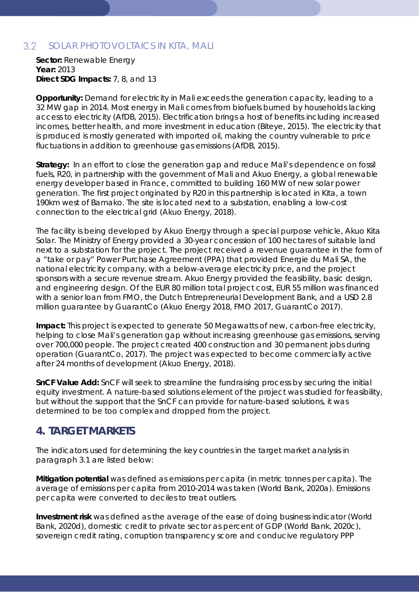#### <span id="page-34-0"></span> $3.2<sub>2</sub>$ SOLAR PHOTOVOLTAICS IN KITA, MALI

**Sector:** Renewable Energy **Year:** 2013 **Direct SDG Impacts:** 7, 8, and 13

**Opportunity:** Demand for electricity in Mali exceeds the generation capacity, leading to a 32 MW gap in 2014. Most energy in Mali comes from biofuels burned by households lacking access to electricity (AfDB, 2015). Electrification brings a host of benefits including increased incomes, better health, and more investment in education (Biteye, 2015). The electricity that is produced is mostly generated with imported oil, making the country vulnerable to price fluctuations in addition to greenhouse gas emissions (AfDB, 2015).

**Strategy:** In an effort to close the generation gap and reduce Mali's dependence on fossil fuels, R20, in partnership with the government of Mali and Akuo Energy, a global renewable energy developer based in France, committed to building 160 MW of new solar power generation. The first project originated by R20 in this partnership is located in Kita, a town 190km west of Bamako. The site is located next to a substation, enabling a low-cost connection to the electrical grid (Akuo Energy, 2018).

The facility is being developed by Akuo Energy through a special purpose vehicle, Akuo Kita Solar. The Ministry of Energy provided a 30-year concession of 100 hectares of suitable land next to a substation for the project. The project received a revenue guarantee in the form of a "take or pay" Power Purchase Agreement (PPA) that provided Energie du Mali SA, the national electricity company, with a below-average electricity price, and the project sponsors with a secure revenue stream. Akuo Energy provided the feasibility, basic design, and engineering design. Of the EUR 80 million total project cost, EUR 55 million was financed with a senior loan from FMO, the Dutch Entrepreneurial Development Bank, and a USD 2.8 million guarantee by GuarantCo (Akuo Energy 2018, FMO 2017, GuarantCo 2017).

**Impact:** This project is expected to generate 50 Megawatts of new, carbon-free electricity, helping to close Mali's generation gap without increasing greenhouse gas emissions, serving over 700,000 people. The project created 400 construction and 30 permanent jobs during operation (GuarantCo, 2017). The project was expected to become commercially active after 24 months of development (Akuo Energy, 2018).

**SnCF Value Add:** SnCF will seek to streamline the fundraising process by securing the initial equity investment. A nature-based solutions element of the project was studied for feasibility, but without the support that the SnCF can provide for nature-based solutions, it was determined to be too complex and dropped from the project.

## <span id="page-34-1"></span>**4. TARGET MARKETS**

The indicators used for determining the key countries in the target market analysis in paragraph 3.1 are listed below:

**Mitigation potential** was defined as emissions per capita (in metric tonnes per capita). The average of emissions per capita from 2010-2014 was taken (World Bank, 2020a). Emissions per capita were converted to deciles to treat outliers.

**Investment risk** was defined as the average of the ease of doing business indicator (World Bank, 2020d), domestic credit to private sector as percent of GDP (World Bank, 2020c), sovereign credit rating, corruption transparency score and conducive regulatory PPP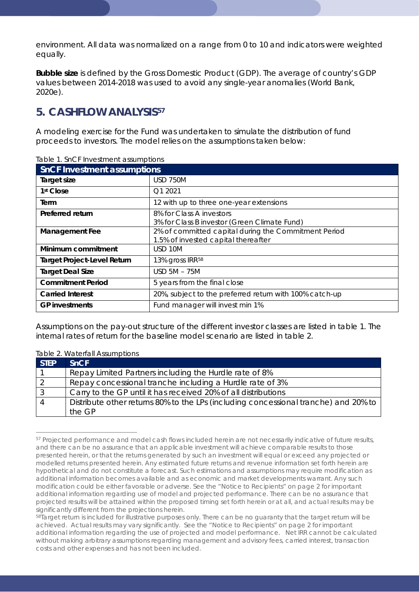environment. All data was normalized on a range from 0 to 10 and indicators were weighted equally.

**Bubble size** is defined by the Gross Domestic Product (GDP). The average of country's GDP values between 2014-2018 was used to avoid any single-year anomalies (World Bank, 2020e).

## <span id="page-35-0"></span>**5. CASHFLOW ANALYSIS[57](#page-35-1)**

A modeling exercise for the Fund was undertaken to simulate the distribution of fund proceeds to investors. The model relies on the assumptions taken below:

| abio il crior introdutionil assamplions<br><b>SnCF Investment assumptions</b> |                                                                                             |  |
|-------------------------------------------------------------------------------|---------------------------------------------------------------------------------------------|--|
| Target size                                                                   | <b>USD 750M</b>                                                                             |  |
| 1 <sup>st</sup> Close                                                         | Q1 2021                                                                                     |  |
| Term                                                                          | 12 with up to three one-year extensions                                                     |  |
| Preferred return                                                              | 8% for Class A investors<br>3% for Class B investor (Green Climate Fund)                    |  |
| <b>Management Fee</b>                                                         | 2% of committed capital during the Commitment Period<br>1.5% of invested capital thereafter |  |
| Minimum commitment                                                            | USD 10M                                                                                     |  |
| <b>Target Project-Level Return</b>                                            | 13% gross IRR <sup>58</sup>                                                                 |  |
| <b>Target Deal Size</b>                                                       | <b>USD 5M - 75M</b>                                                                         |  |
| <b>Commitment Period</b>                                                      | 5 years from the final close                                                                |  |
| <b>Carried Interest</b>                                                       | 20%, subject to the preferred return with 100% catch-up                                     |  |
| <b>GP</b> investments                                                         | Fund manager will invest min 1%                                                             |  |

Table 1. SnCF Investment assumptions

Assumptions on the pay-out structure of the different investor classes are listed in table 1. The internal rates of return for the baseline model scenario are listed in table 2.

### Table 2. Waterfall Assumptions

| <b>STEP</b> | SnCF                                                                                |
|-------------|-------------------------------------------------------------------------------------|
|             | Repay Limited Partners including the Hurdle rate of 8%                              |
|             | Repay concessional tranche including a Hurdle rate of 3%                            |
|             | Carry to the GP until it has received 20% of all distributions                      |
| 4           | Distribute other returns 80% to the LPs (including concessional tranche) and 20% to |
|             | the GP                                                                              |

<span id="page-35-1"></span><sup>57</sup> Projected performance and model cash flows included herein are not necessarily indicative of future results, and there can be no assurance that an applicable investment will achieve comparable results to those presented herein, or that the returns generated by such an investment will equal or exceed any projected or modelled returns presented herein. Any estimated future returns and revenue information set forth herein are hypothetical and do not constitute a forecast. Such estimations and assumptions may require modification as additional information becomes available and as economic and market developments warrant. Any such modification could be either favorable or adverse. See the "Notice to Recipients" on page 2 for important additional information regarding use of model and projected performance. There can be no assurance that projected results will be attained within the proposed timing set forth herein or at all, and actual results may be significantly different from the projections herein.

<span id="page-35-2"></span><sup>58</sup>Target return is included for illustrative purposes only. There can be no guaranty that the target return will be achieved. Actual results may vary significantly. See the "Notice to Recipients" on page 2 for important additional information regarding the use of projected and model performance. Net IRR cannot be calculated without making arbitrary assumptions regarding management and advisory fees, carried interest, transaction costs and other expenses and has not been included.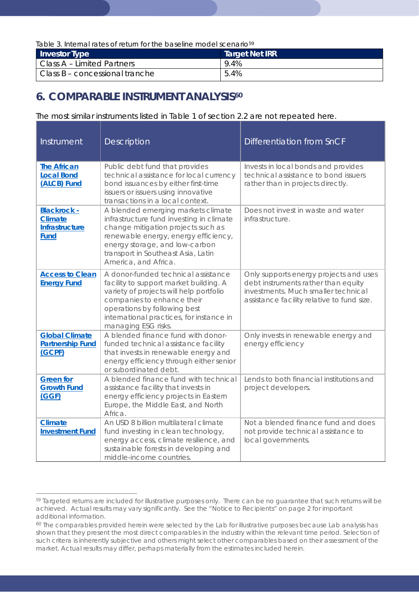*Table 3. Internal rates of return for the baseline model scenario[59](#page-36-1)*

| <b>Investor Type</b>           | <b>Target Net IRR</b> |
|--------------------------------|-----------------------|
| Class A - Limited Partners     | 9.4%                  |
| Class B - concessional tranche | 5.4%                  |

## <span id="page-36-0"></span>**6. COMPARABLE INSTRUMENT ANALYSIS[60](#page-36-2)**

### The most similar instruments listed in Table 1 of section 2.2 are not repeated here.

| Instrument                                                            | <b>Description</b>                                                                                                                                                                                                                                           | Differentiation from SnCF                                                                                                                                          |
|-----------------------------------------------------------------------|--------------------------------------------------------------------------------------------------------------------------------------------------------------------------------------------------------------------------------------------------------------|--------------------------------------------------------------------------------------------------------------------------------------------------------------------|
| <b>The African</b><br><b>Local Bond</b><br>(ALCB) Fund                | Public debt fund that provides<br>technical assistance for local currency<br>bond issuances by either first-time<br>issuers or issuers using innovative<br>transactions in a local context.                                                                  | Invests in local bonds and provides<br>technical assistance to bond issuers<br>rather than in projects directly.                                                   |
| <b>Blackrock -</b><br><b>Climate</b><br>Infrastructure<br><b>Fund</b> | A blended emerging markets climate<br>infrastructure fund investing in climate<br>change mitigation projects such as<br>renewable energy, energy efficiency,<br>energy storage, and low-carbon<br>transport in Southeast Asia, Latin<br>America, and Africa. | Does not invest in waste and water<br>infrastructure.                                                                                                              |
| <b>Access to Clean</b><br><b>Energy Fund</b>                          | A donor-funded technical assistance<br>facility to support market building. A<br>variety of projects will help portfolio<br>companies to enhance their<br>operations by following best<br>international practices, for instance in<br>managing ESG risks.    | Only supports energy projects and uses<br>debt instruments rather than equity<br>investments. Much smaller technical<br>assistance facility relative to fund size. |
| <b>Global Climate</b><br><b>Partnership Fund</b><br>(GCPF)            | A blended finance fund with donor-<br>funded technical assistance facility<br>that invests in renewable energy and<br>energy efficiency through either senior<br>or subordinated debt.                                                                       | Only invests in renewable energy and<br>energy efficiency                                                                                                          |
| <b>Green for</b><br><b>Growth Fund</b><br>(GGF)                       | A blended finance fund with technical<br>assistance facility that invests in<br>energy efficiency projects in Eastern<br>Europe, the Middle East, and North<br>Africa.                                                                                       | Lends to both financial institutions and<br>project developers.                                                                                                    |
| <b>Climate</b><br><b>Investment Fund</b>                              | An USD 8 billion multilateral climate<br>fund investing in clean technology,<br>energy access, climate resilience, and<br>sustainable forests in developing and<br>middle-income countries.                                                                  | Not a blended finance fund and does<br>not provide technical assistance to<br>local governments.                                                                   |

<span id="page-36-1"></span><sup>59</sup> Targeted returns are included for illustrative purposes only. There can be no guarantee that such returns will be achieved. Actual results may vary significantly. See the "Notice to Recipients" on page 2 for important additional information.

<span id="page-36-2"></span><sup>60</sup> The comparables provided herein were selected by the Lab for illustrative purposes because Lab analysis has shown that they present the most direct comparables in the industry within the relevant time period. Selection of such critera is inherently subjective and others might select other comparables based on their assessment of the market. Actual results may differ, perhaps materially from the estimates included herein.